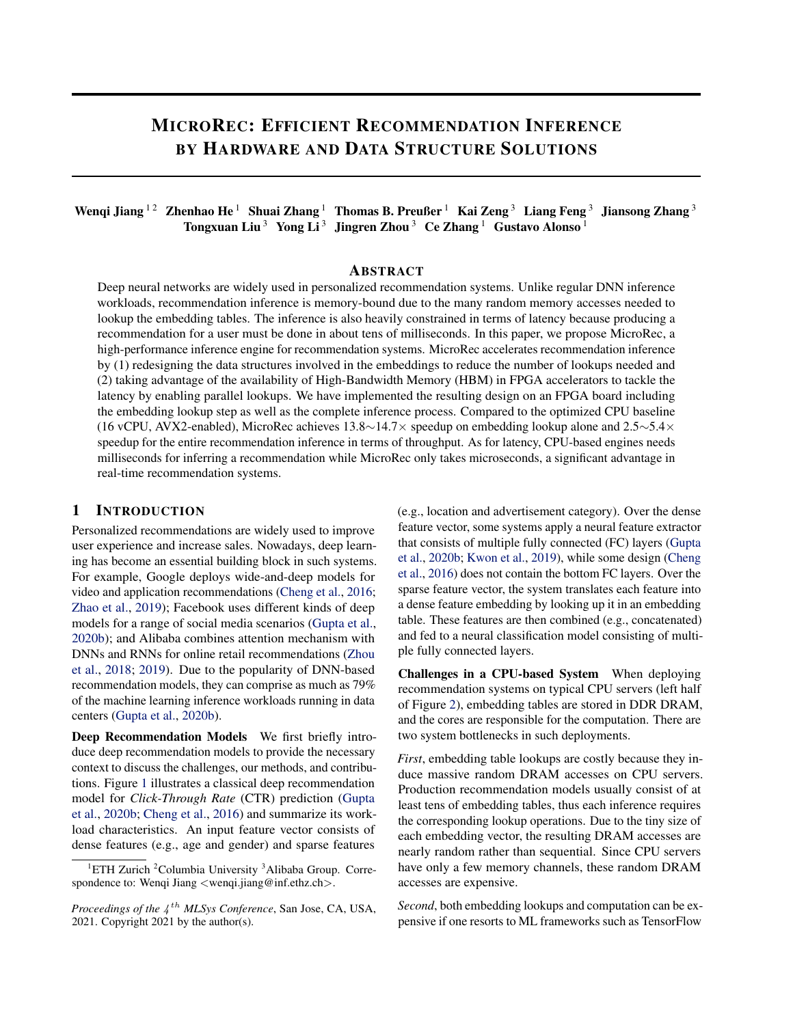# MICROREC: EFFICIENT RECOMMENDATION INFERENCE BY HARDWARE AND DATA STRUCTURE SOLUTIONS

## Wenqi Jiang  $^{12}~$  Zhenhao He  $^1~$  Shuai Zhang  $^1~$  Thomas B. Preußer  $^1~$  Kai Zeng  $^3~$  Liang Feng  $^3~$  Jiansong Zhang  $^3$ Tongxuan Liu  $^3$  Yong Li  $^3$  Jingren Zhou  $^3$  Ce Zhang  $^1$  Gustavo Alonso  $^1$

## ABSTRACT

Deep neural networks are widely used in personalized recommendation systems. Unlike regular DNN inference workloads, recommendation inference is memory-bound due to the many random memory accesses needed to lookup the embedding tables. The inference is also heavily constrained in terms of latency because producing a recommendation for a user must be done in about tens of milliseconds. In this paper, we propose MicroRec, a high-performance inference engine for recommendation systems. MicroRec accelerates recommendation inference by (1) redesigning the data structures involved in the embeddings to reduce the number of lookups needed and (2) taking advantage of the availability of High-Bandwidth Memory (HBM) in FPGA accelerators to tackle the latency by enabling parallel lookups. We have implemented the resulting design on an FPGA board including the embedding lookup step as well as the complete inference process. Compared to the optimized CPU baseline (16 vCPU, AVX2-enabled), MicroRec achieves 13.8∼14.7× speedup on embedding lookup alone and 2.5∼5.4× speedup for the entire recommendation inference in terms of throughput. As for latency, CPU-based engines needs milliseconds for inferring a recommendation while MicroRec only takes microseconds, a significant advantage in real-time recommendation systems.

## 1 INTRODUCTION

Personalized recommendations are widely used to improve user experience and increase sales. Nowadays, deep learning has become an essential building block in such systems. For example, Google deploys wide-and-deep models for video and application recommendations [\(Cheng et al.,](#page-10-0) [2016;](#page-10-0) [Zhao et al.,](#page-13-0) [2019\)](#page-13-0); Facebook uses different kinds of deep models for a range of social media scenarios [\(Gupta et al.,](#page-11-0) [2020b\)](#page-11-0); and Alibaba combines attention mechanism with DNNs and RNNs for online retail recommendations [\(Zhou](#page-13-0) [et al.,](#page-13-0) [2018;](#page-13-0) [2019\)](#page-13-0). Due to the popularity of DNN-based recommendation models, they can comprise as much as 79% of the machine learning inference workloads running in data centers [\(Gupta et al.,](#page-11-0) [2020b\)](#page-11-0).

Deep Recommendation Models We first briefly introduce deep recommendation models to provide the necessary context to discuss the challenges, our methods, and contributions. Figure [1](#page-1-0) illustrates a classical deep recommendation model for *Click-Through Rate* (CTR) prediction [\(Gupta](#page-11-0) [et al.,](#page-11-0) [2020b;](#page-11-0) [Cheng et al.,](#page-10-0) [2016\)](#page-10-0) and summarize its workload characteristics. An input feature vector consists of dense features (e.g., age and gender) and sparse features

(e.g., location and advertisement category). Over the dense feature vector, some systems apply a neural feature extractor that consists of multiple fully connected (FC) layers [\(Gupta](#page-11-0) [et al.,](#page-11-0) [2020b;](#page-11-0) [Kwon et al.,](#page-12-0) [2019\)](#page-12-0), while some design [\(Cheng](#page-10-0) [et al.,](#page-10-0) [2016\)](#page-10-0) does not contain the bottom FC layers. Over the sparse feature vector, the system translates each feature into a dense feature embedding by looking up it in an embedding table. These features are then combined (e.g., concatenated) and fed to a neural classification model consisting of multiple fully connected layers.

Challenges in a CPU-based System When deploying recommendation systems on typical CPU servers (left half of Figure [2\)](#page-1-0), embedding tables are stored in DDR DRAM, and the cores are responsible for the computation. There are two system bottlenecks in such deployments.

*First*, embedding table lookups are costly because they induce massive random DRAM accesses on CPU servers. Production recommendation models usually consist of at least tens of embedding tables, thus each inference requires the corresponding lookup operations. Due to the tiny size of each embedding vector, the resulting DRAM accesses are nearly random rather than sequential. Since CPU servers have only a few memory channels, these random DRAM accesses are expensive.

*Second*, both embedding lookups and computation can be expensive if one resorts to ML frameworks such as TensorFlow

<sup>&</sup>lt;sup>1</sup>ETH Zurich <sup>2</sup>Columbia University <sup>3</sup>Alibaba Group. Correspondence to: Wenqi Jiang <wenqi.jiang@inf.ethz.ch>.

Proceedings of the  $4^{th}$  *MLSys Conference*, San Jose, CA, USA, 2021. Copyright 2021 by the author(s).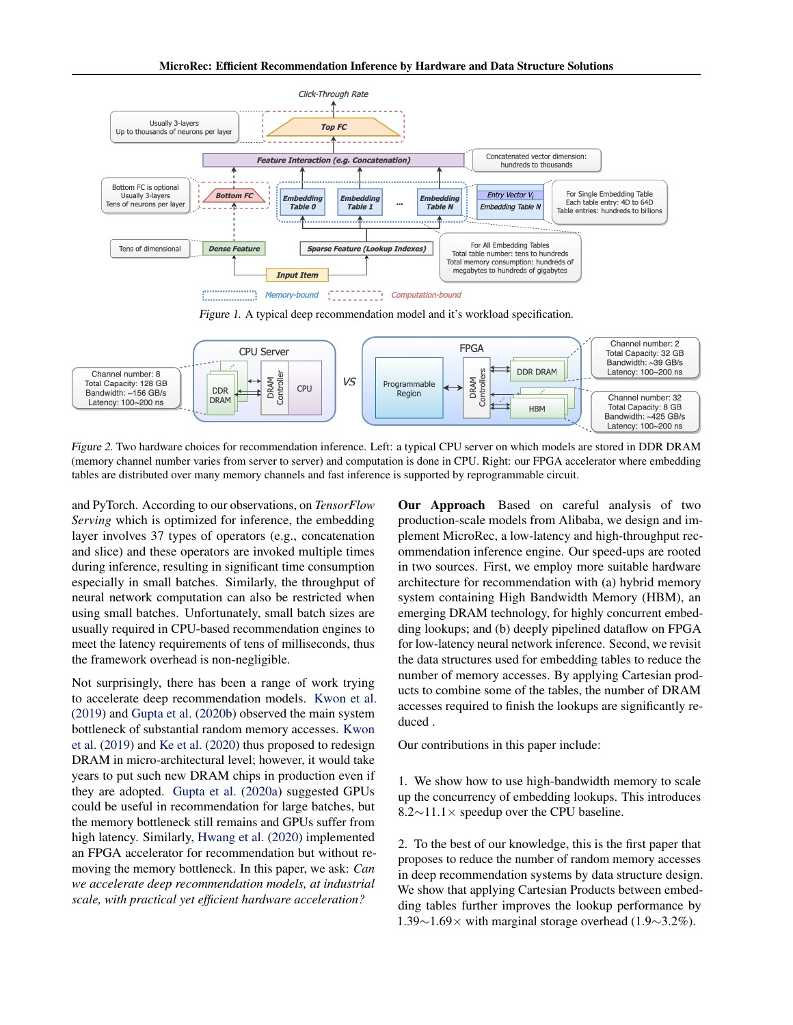<span id="page-1-0"></span>

Figure 2. Two hardware choices for recommendation inference. Left: a typical CPU server on which models are stored in DDR DRAM (memory channel number varies from server to server) and computation is done in CPU. Right: our FPGA accelerator where embedding tables are distributed over many memory channels and fast inference is supported by reprogrammable circuit.

and PyTorch. According to our observations, on *TensorFlow Serving* which is optimized for inference, the embedding layer involves 37 types of operators (e.g., concatenation and slice) and these operators are invoked multiple times during inference, resulting in significant time consumption especially in small batches. Similarly, the throughput of neural network computation can also be restricted when using small batches. Unfortunately, small batch sizes are usually required in CPU-based recommendation engines to meet the latency requirements of tens of milliseconds, thus the framework overhead is non-negligible.

Not surprisingly, there has been a range of work trying to accelerate deep recommendation models. [Kwon et al.](#page-12-0) [\(2019\)](#page-12-0) and [Gupta et al.](#page-11-0) [\(2020b\)](#page-11-0) observed the main system bottleneck of substantial random memory accesses. [Kwon](#page-12-0) [et al.](#page-12-0) [\(2019\)](#page-12-0) and [Ke et al.](#page-12-0) [\(2020\)](#page-12-0) thus proposed to redesign DRAM in micro-architectural level; however, it would take years to put such new DRAM chips in production even if they are adopted. [Gupta et al.](#page-11-0) [\(2020a\)](#page-11-0) suggested GPUs could be useful in recommendation for large batches, but the memory bottleneck still remains and GPUs suffer from high latency. Similarly, [Hwang et al.](#page-11-0) [\(2020\)](#page-11-0) implemented an FPGA accelerator for recommendation but without removing the memory bottleneck. In this paper, we ask: *Can we accelerate deep recommendation models, at industrial scale, with practical yet efficient hardware acceleration?*

Our Approach Based on careful analysis of two production-scale models from Alibaba, we design and implement MicroRec, a low-latency and high-throughput recommendation inference engine. Our speed-ups are rooted in two sources. First, we employ more suitable hardware architecture for recommendation with (a) hybrid memory system containing High Bandwidth Memory (HBM), an emerging DRAM technology, for highly concurrent embedding lookups; and (b) deeply pipelined dataflow on FPGA for low-latency neural network inference. Second, we revisit the data structures used for embedding tables to reduce the number of memory accesses. By applying Cartesian products to combine some of the tables, the number of DRAM accesses required to finish the lookups are significantly reduced .

Our contributions in this paper include:

1. We show how to use high-bandwidth memory to scale up the concurrency of embedding lookups. This introduces 8.2∼11.1× speedup over the CPU baseline.

2. To the best of our knowledge, this is the first paper that proposes to reduce the number of random memory accesses in deep recommendation systems by data structure design. We show that applying Cartesian Products between embedding tables further improves the lookup performance by 1.39∼1.69× with marginal storage overhead (1.9∼3.2%).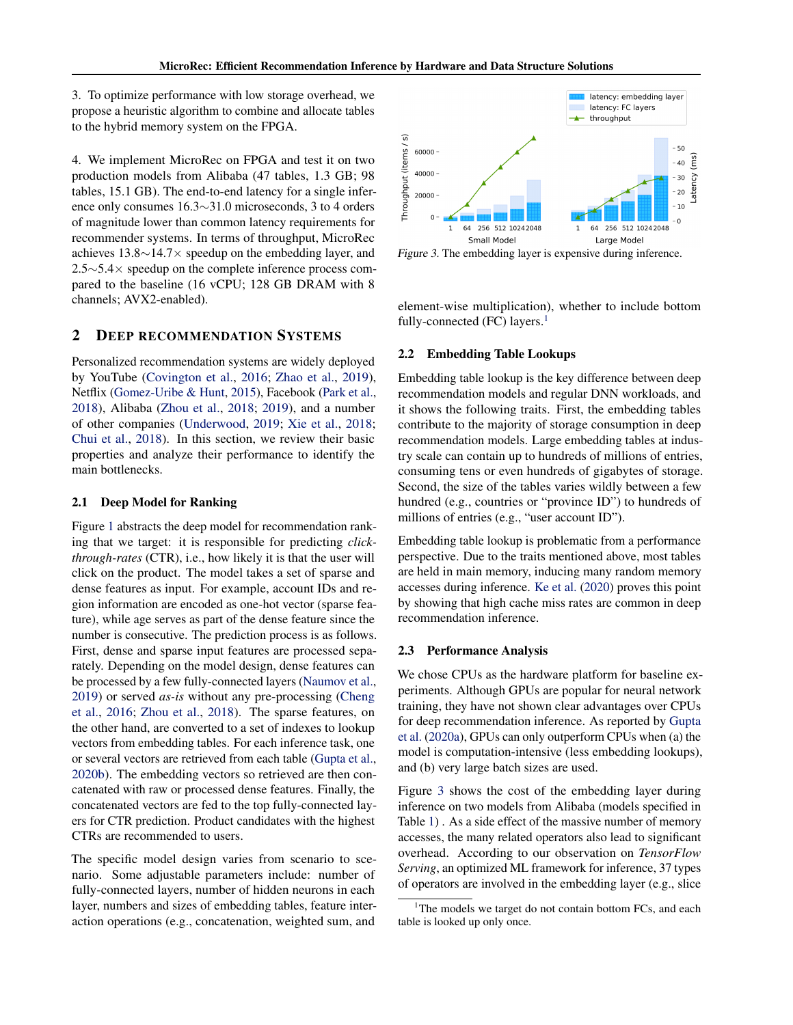<span id="page-2-0"></span>3. To optimize performance with low storage overhead, we propose a heuristic algorithm to combine and allocate tables to the hybrid memory system on the FPGA.

4. We implement MicroRec on FPGA and test it on two production models from Alibaba (47 tables, 1.3 GB; 98 tables, 15.1 GB). The end-to-end latency for a single inference only consumes 16.3∼31.0 microseconds, 3 to 4 orders of magnitude lower than common latency requirements for recommender systems. In terms of throughput, MicroRec achieves 13.8∼14.7× speedup on the embedding layer, and 2.5∼5.4× speedup on the complete inference process compared to the baseline (16 vCPU; 128 GB DRAM with 8 channels; AVX2-enabled).

## 2 DEEP RECOMMENDATION SYSTEMS

Personalized recommendation systems are widely deployed by YouTube [\(Covington et al.,](#page-10-0) [2016;](#page-10-0) [Zhao et al.,](#page-13-0) [2019\)](#page-13-0), Netflix [\(Gomez-Uribe & Hunt,](#page-11-0) [2015\)](#page-11-0), Facebook [\(Park et al.,](#page-13-0) [2018\)](#page-13-0), Alibaba [\(Zhou et al.,](#page-13-0) [2018;](#page-13-0) [2019\)](#page-13-0), and a number of other companies [\(Underwood,](#page-13-0) [2019;](#page-13-0) [Xie et al.,](#page-13-0) [2018;](#page-13-0) [Chui et al.,](#page-10-0) [2018\)](#page-10-0). In this section, we review their basic properties and analyze their performance to identify the main bottlenecks.

#### 2.1 Deep Model for Ranking

Figure [1](#page-1-0) abstracts the deep model for recommendation ranking that we target: it is responsible for predicting *clickthrough-rates* (CTR), i.e., how likely it is that the user will click on the product. The model takes a set of sparse and dense features as input. For example, account IDs and region information are encoded as one-hot vector (sparse feature), while age serves as part of the dense feature since the number is consecutive. The prediction process is as follows. First, dense and sparse input features are processed separately. Depending on the model design, dense features can be processed by a few fully-connected layers [\(Naumov et al.,](#page-12-0) [2019\)](#page-12-0) or served *as-is* without any pre-processing [\(Cheng](#page-10-0) [et al.,](#page-10-0) [2016;](#page-10-0) [Zhou et al.,](#page-13-0) [2018\)](#page-13-0). The sparse features, on the other hand, are converted to a set of indexes to lookup vectors from embedding tables. For each inference task, one or several vectors are retrieved from each table [\(Gupta et al.,](#page-11-0) [2020b\)](#page-11-0). The embedding vectors so retrieved are then concatenated with raw or processed dense features. Finally, the concatenated vectors are fed to the top fully-connected layers for CTR prediction. Product candidates with the highest CTRs are recommended to users.

The specific model design varies from scenario to scenario. Some adjustable parameters include: number of fully-connected layers, number of hidden neurons in each layer, numbers and sizes of embedding tables, feature interaction operations (e.g., concatenation, weighted sum, and



Figure 3. The embedding layer is expensive during inference.

element-wise multiplication), whether to include bottom fully-connected (FC) layers. $<sup>1</sup>$ </sup>

#### 2.2 Embedding Table Lookups

Embedding table lookup is the key difference between deep recommendation models and regular DNN workloads, and it shows the following traits. First, the embedding tables contribute to the majority of storage consumption in deep recommendation models. Large embedding tables at industry scale can contain up to hundreds of millions of entries, consuming tens or even hundreds of gigabytes of storage. Second, the size of the tables varies wildly between a few hundred (e.g., countries or "province ID") to hundreds of millions of entries (e.g., "user account ID").

Embedding table lookup is problematic from a performance perspective. Due to the traits mentioned above, most tables are held in main memory, inducing many random memory accesses during inference. [Ke et al.](#page-12-0) [\(2020\)](#page-12-0) proves this point by showing that high cache miss rates are common in deep recommendation inference.

#### 2.3 Performance Analysis

We chose CPUs as the hardware platform for baseline experiments. Although GPUs are popular for neural network training, they have not shown clear advantages over CPUs for deep recommendation inference. As reported by [Gupta](#page-11-0) [et al.](#page-11-0) [\(2020a\)](#page-11-0), GPUs can only outperform CPUs when (a) the model is computation-intensive (less embedding lookups), and (b) very large batch sizes are used.

Figure 3 shows the cost of the embedding layer during inference on two models from Alibaba (models specified in Table [1\)](#page-6-0) . As a side effect of the massive number of memory accesses, the many related operators also lead to significant overhead. According to our observation on *TensorFlow Serving*, an optimized ML framework for inference, 37 types of operators are involved in the embedding layer (e.g., slice

<sup>&</sup>lt;sup>1</sup>The models we target do not contain bottom FCs, and each table is looked up only once.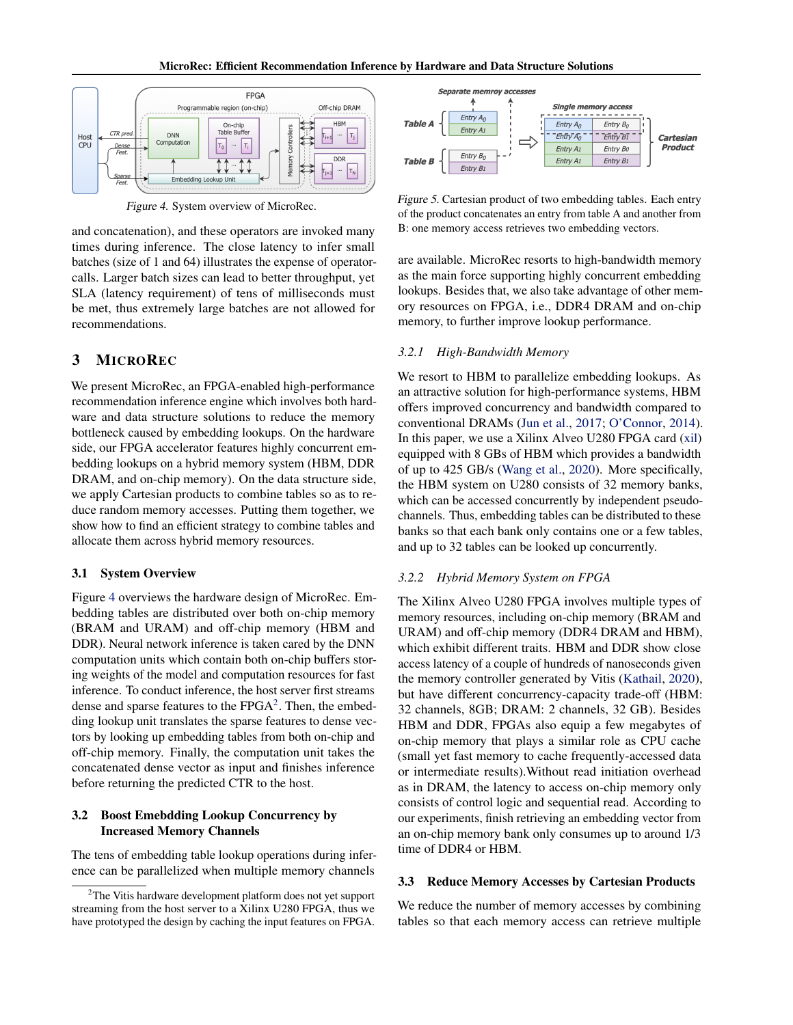<span id="page-3-0"></span>

Figure 4. System overview of MicroRec.

and concatenation), and these operators are invoked many times during inference. The close latency to infer small batches (size of 1 and 64) illustrates the expense of operatorcalls. Larger batch sizes can lead to better throughput, yet SLA (latency requirement) of tens of milliseconds must be met, thus extremely large batches are not allowed for recommendations.

## 3 MICROREC

We present MicroRec, an FPGA-enabled high-performance recommendation inference engine which involves both hardware and data structure solutions to reduce the memory bottleneck caused by embedding lookups. On the hardware side, our FPGA accelerator features highly concurrent embedding lookups on a hybrid memory system (HBM, DDR DRAM, and on-chip memory). On the data structure side, we apply Cartesian products to combine tables so as to reduce random memory accesses. Putting them together, we show how to find an efficient strategy to combine tables and allocate them across hybrid memory resources.

#### 3.1 System Overview

Figure 4 overviews the hardware design of MicroRec. Embedding tables are distributed over both on-chip memory (BRAM and URAM) and off-chip memory (HBM and DDR). Neural network inference is taken cared by the DNN computation units which contain both on-chip buffers storing weights of the model and computation resources for fast inference. To conduct inference, the host server first streams dense and sparse features to the  $FPGA<sup>2</sup>$ . Then, the embedding lookup unit translates the sparse features to dense vectors by looking up embedding tables from both on-chip and off-chip memory. Finally, the computation unit takes the concatenated dense vector as input and finishes inference before returning the predicted CTR to the host.

#### 3.2 Boost Emebdding Lookup Concurrency by Increased Memory Channels

The tens of embedding table lookup operations during inference can be parallelized when multiple memory channels



Figure 5. Cartesian product of two embedding tables. Each entry of the product concatenates an entry from table A and another from B: one memory access retrieves two embedding vectors.

are available. MicroRec resorts to high-bandwidth memory as the main force supporting highly concurrent embedding lookups. Besides that, we also take advantage of other memory resources on FPGA, i.e., DDR4 DRAM and on-chip memory, to further improve lookup performance.

#### *3.2.1 High-Bandwidth Memory*

We resort to HBM to parallelize embedding lookups. As an attractive solution for high-performance systems, HBM offers improved concurrency and bandwidth compared to conventional DRAMs [\(Jun et al.,](#page-12-0) [2017;](#page-12-0) [O'Connor,](#page-12-0) [2014\)](#page-12-0). In this paper, we use a Xilinx Alveo U280 FPGA card [\(xil\)](#page-10-0) equipped with 8 GBs of HBM which provides a bandwidth of up to 425 GB/s [\(Wang et al.,](#page-13-0) [2020\)](#page-13-0). More specifically, the HBM system on U280 consists of 32 memory banks, which can be accessed concurrently by independent pseudochannels. Thus, embedding tables can be distributed to these banks so that each bank only contains one or a few tables, and up to 32 tables can be looked up concurrently.

### *3.2.2 Hybrid Memory System on FPGA*

The Xilinx Alveo U280 FPGA involves multiple types of memory resources, including on-chip memory (BRAM and URAM) and off-chip memory (DDR4 DRAM and HBM), which exhibit different traits. HBM and DDR show close access latency of a couple of hundreds of nanoseconds given the memory controller generated by Vitis [\(Kathail,](#page-12-0) [2020\)](#page-12-0), but have different concurrency-capacity trade-off (HBM: 32 channels, 8GB; DRAM: 2 channels, 32 GB). Besides HBM and DDR, FPGAs also equip a few megabytes of on-chip memory that plays a similar role as CPU cache (small yet fast memory to cache frequently-accessed data or intermediate results).Without read initiation overhead as in DRAM, the latency to access on-chip memory only consists of control logic and sequential read. According to our experiments, finish retrieving an embedding vector from an on-chip memory bank only consumes up to around 1/3 time of DDR4 or HBM.

#### 3.3 Reduce Memory Accesses by Cartesian Products

We reduce the number of memory accesses by combining tables so that each memory access can retrieve multiple

 $2$ The Vitis hardware development platform does not yet support streaming from the host server to a Xilinx U280 FPGA, thus we have prototyped the design by caching the input features on FPGA.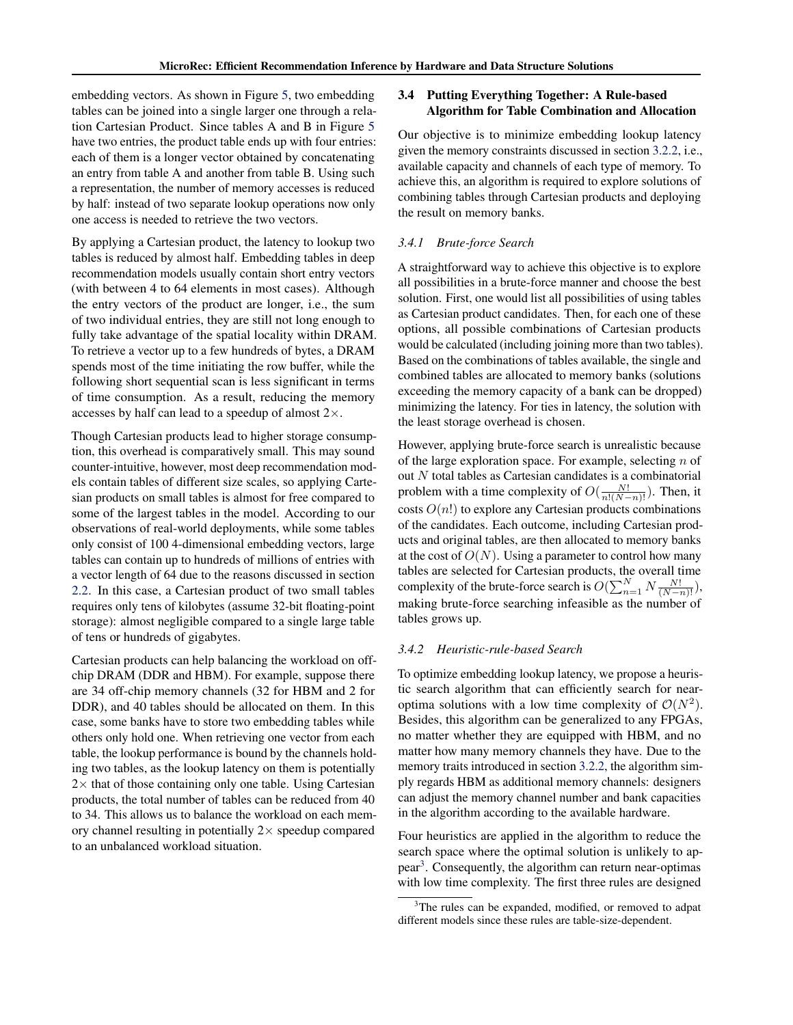<span id="page-4-0"></span>embedding vectors. As shown in Figure [5,](#page-3-0) two embedding tables can be joined into a single larger one through a relation Cartesian Product. Since tables A and B in Figure [5](#page-3-0) have two entries, the product table ends up with four entries: each of them is a longer vector obtained by concatenating an entry from table A and another from table B. Using such a representation, the number of memory accesses is reduced by half: instead of two separate lookup operations now only one access is needed to retrieve the two vectors.

By applying a Cartesian product, the latency to lookup two tables is reduced by almost half. Embedding tables in deep recommendation models usually contain short entry vectors (with between 4 to 64 elements in most cases). Although the entry vectors of the product are longer, i.e., the sum of two individual entries, they are still not long enough to fully take advantage of the spatial locality within DRAM. To retrieve a vector up to a few hundreds of bytes, a DRAM spends most of the time initiating the row buffer, while the following short sequential scan is less significant in terms of time consumption. As a result, reducing the memory accesses by half can lead to a speedup of almost  $2 \times$ .

Though Cartesian products lead to higher storage consumption, this overhead is comparatively small. This may sound counter-intuitive, however, most deep recommendation models contain tables of different size scales, so applying Cartesian products on small tables is almost for free compared to some of the largest tables in the model. According to our observations of real-world deployments, while some tables only consist of 100 4-dimensional embedding vectors, large tables can contain up to hundreds of millions of entries with a vector length of 64 due to the reasons discussed in section [2.2.](#page-2-0) In this case, a Cartesian product of two small tables requires only tens of kilobytes (assume 32-bit floating-point storage): almost negligible compared to a single large table of tens or hundreds of gigabytes.

Cartesian products can help balancing the workload on offchip DRAM (DDR and HBM). For example, suppose there are 34 off-chip memory channels (32 for HBM and 2 for DDR), and 40 tables should be allocated on them. In this case, some banks have to store two embedding tables while others only hold one. When retrieving one vector from each table, the lookup performance is bound by the channels holding two tables, as the lookup latency on them is potentially  $2\times$  that of those containing only one table. Using Cartesian products, the total number of tables can be reduced from 40 to 34. This allows us to balance the workload on each memory channel resulting in potentially  $2\times$  speedup compared to an unbalanced workload situation.

## 3.4 Putting Everything Together: A Rule-based Algorithm for Table Combination and Allocation

Our objective is to minimize embedding lookup latency given the memory constraints discussed in section [3.2.2,](#page-3-0) i.e., available capacity and channels of each type of memory. To achieve this, an algorithm is required to explore solutions of combining tables through Cartesian products and deploying the result on memory banks.

## *3.4.1 Brute-force Search*

A straightforward way to achieve this objective is to explore all possibilities in a brute-force manner and choose the best solution. First, one would list all possibilities of using tables as Cartesian product candidates. Then, for each one of these options, all possible combinations of Cartesian products would be calculated (including joining more than two tables). Based on the combinations of tables available, the single and combined tables are allocated to memory banks (solutions exceeding the memory capacity of a bank can be dropped) minimizing the latency. For ties in latency, the solution with the least storage overhead is chosen.

However, applying brute-force search is unrealistic because of the large exploration space. For example, selecting  $n$  of out  $N$  total tables as Cartesian candidates is a combinatorial problem with a time complexity of  $O(\frac{N!}{n!(N-n)!})$ . Then, it costs  $O(n!)$  to explore any Cartesian products combinations of the candidates. Each outcome, including Cartesian products and original tables, are then allocated to memory banks at the cost of  $O(N)$ . Using a parameter to control how many tables are selected for Cartesian products, the overall time complexity of the brute-force search is  $O(\sum_{n=1}^{N} N \frac{N!}{(N-n)!}),$ making brute-force searching infeasible as the number of tables grows up.

#### *3.4.2 Heuristic-rule-based Search*

To optimize embedding lookup latency, we propose a heuristic search algorithm that can efficiently search for nearoptima solutions with a low time complexity of  $\mathcal{O}(N^2)$ . Besides, this algorithm can be generalized to any FPGAs, no matter whether they are equipped with HBM, and no matter how many memory channels they have. Due to the memory traits introduced in section [3.2.2,](#page-3-0) the algorithm simply regards HBM as additional memory channels: designers can adjust the memory channel number and bank capacities in the algorithm according to the available hardware.

Four heuristics are applied in the algorithm to reduce the search space where the optimal solution is unlikely to appear<sup>3</sup>. Consequently, the algorithm can return near-optimas with low time complexity. The first three rules are designed

<sup>&</sup>lt;sup>3</sup>The rules can be expanded, modified, or removed to adpat different models since these rules are table-size-dependent.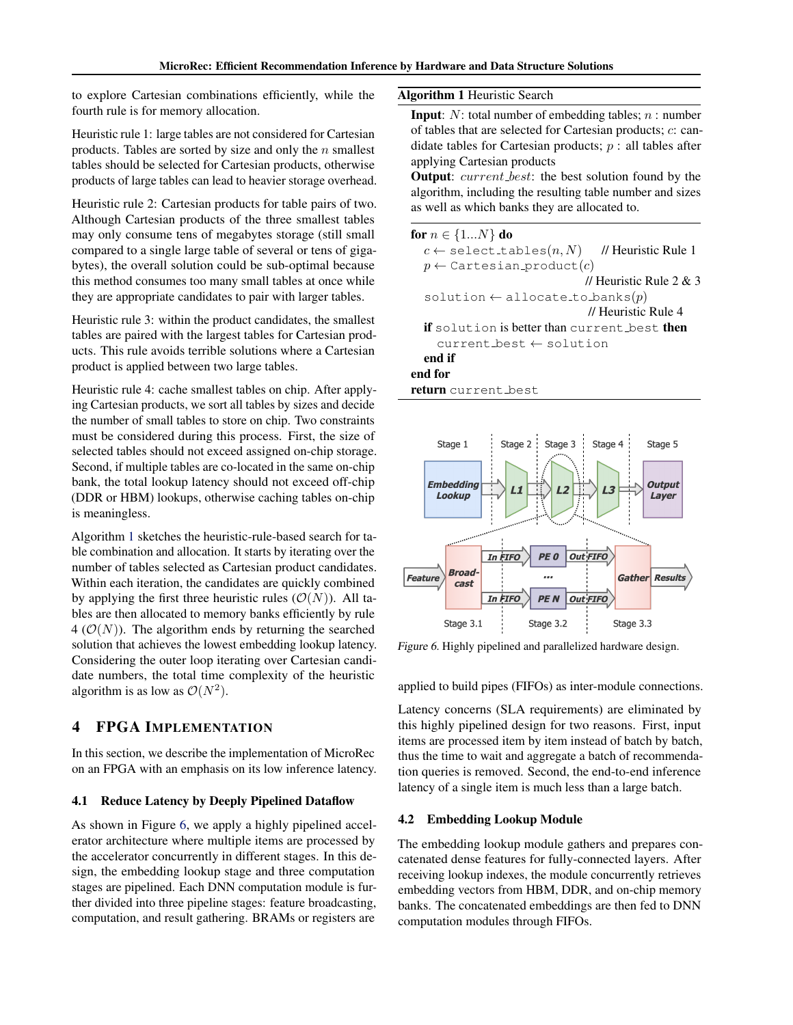<span id="page-5-0"></span>to explore Cartesian combinations efficiently, while the fourth rule is for memory allocation.

Heuristic rule 1: large tables are not considered for Cartesian products. Tables are sorted by size and only the  $n$  smallest tables should be selected for Cartesian products, otherwise products of large tables can lead to heavier storage overhead.

Heuristic rule 2: Cartesian products for table pairs of two. Although Cartesian products of the three smallest tables may only consume tens of megabytes storage (still small compared to a single large table of several or tens of gigabytes), the overall solution could be sub-optimal because this method consumes too many small tables at once while they are appropriate candidates to pair with larger tables.

Heuristic rule 3: within the product candidates, the smallest tables are paired with the largest tables for Cartesian products. This rule avoids terrible solutions where a Cartesian product is applied between two large tables.

Heuristic rule 4: cache smallest tables on chip. After applying Cartesian products, we sort all tables by sizes and decide the number of small tables to store on chip. Two constraints must be considered during this process. First, the size of selected tables should not exceed assigned on-chip storage. Second, if multiple tables are co-located in the same on-chip bank, the total lookup latency should not exceed off-chip (DDR or HBM) lookups, otherwise caching tables on-chip is meaningless.

Algorithm 1 sketches the heuristic-rule-based search for table combination and allocation. It starts by iterating over the number of tables selected as Cartesian product candidates. Within each iteration, the candidates are quickly combined by applying the first three heuristic rules  $(\mathcal{O}(N))$ . All tables are then allocated to memory banks efficiently by rule 4 ( $\mathcal{O}(N)$ ). The algorithm ends by returning the searched solution that achieves the lowest embedding lookup latency. Considering the outer loop iterating over Cartesian candidate numbers, the total time complexity of the heuristic algorithm is as low as  $\mathcal{O}(N^2)$ .

## 4 FPGA IMPLEMENTATION

In this section, we describe the implementation of MicroRec on an FPGA with an emphasis on its low inference latency.

#### 4.1 Reduce Latency by Deeply Pipelined Dataflow

As shown in Figure 6, we apply a highly pipelined accelerator architecture where multiple items are processed by the accelerator concurrently in different stages. In this design, the embedding lookup stage and three computation stages are pipelined. Each DNN computation module is further divided into three pipeline stages: feature broadcasting, computation, and result gathering. BRAMs or registers are

Algorithm 1 Heuristic Search

**Input:**  $N$ : total number of embedding tables;  $n$ : number of tables that are selected for Cartesian products; c: candidate tables for Cartesian products;  $p$ : all tables after applying Cartesian products

Output: *current\_best*: the best solution found by the algorithm, including the resulting table number and sizes as well as which banks they are allocated to.

| for $n \in \{1N\}$ do                                      |
|------------------------------------------------------------|
| $c \leftarrow$ select_tables $(n, N)$ // Heuristic Rule 1  |
| $p \leftarrow$ Cartesian_product $(c)$                     |
| // Heuristic Rule $2 \& 3$                                 |
| solution $\leftarrow$ allocate_to_banks(p)                 |
| // Heuristic Rule 4                                        |
| <b>if</b> solution is better than current best <b>then</b> |
| $current$ best $\leftarrow$ solution                       |
| end if                                                     |
| end for                                                    |
| <b>return</b> current best                                 |



Figure 6. Highly pipelined and parallelized hardware design.

applied to build pipes (FIFOs) as inter-module connections.

Latency concerns (SLA requirements) are eliminated by this highly pipelined design for two reasons. First, input items are processed item by item instead of batch by batch, thus the time to wait and aggregate a batch of recommendation queries is removed. Second, the end-to-end inference latency of a single item is much less than a large batch.

#### 4.2 Embedding Lookup Module

The embedding lookup module gathers and prepares concatenated dense features for fully-connected layers. After receiving lookup indexes, the module concurrently retrieves embedding vectors from HBM, DDR, and on-chip memory banks. The concatenated embeddings are then fed to DNN computation modules through FIFOs.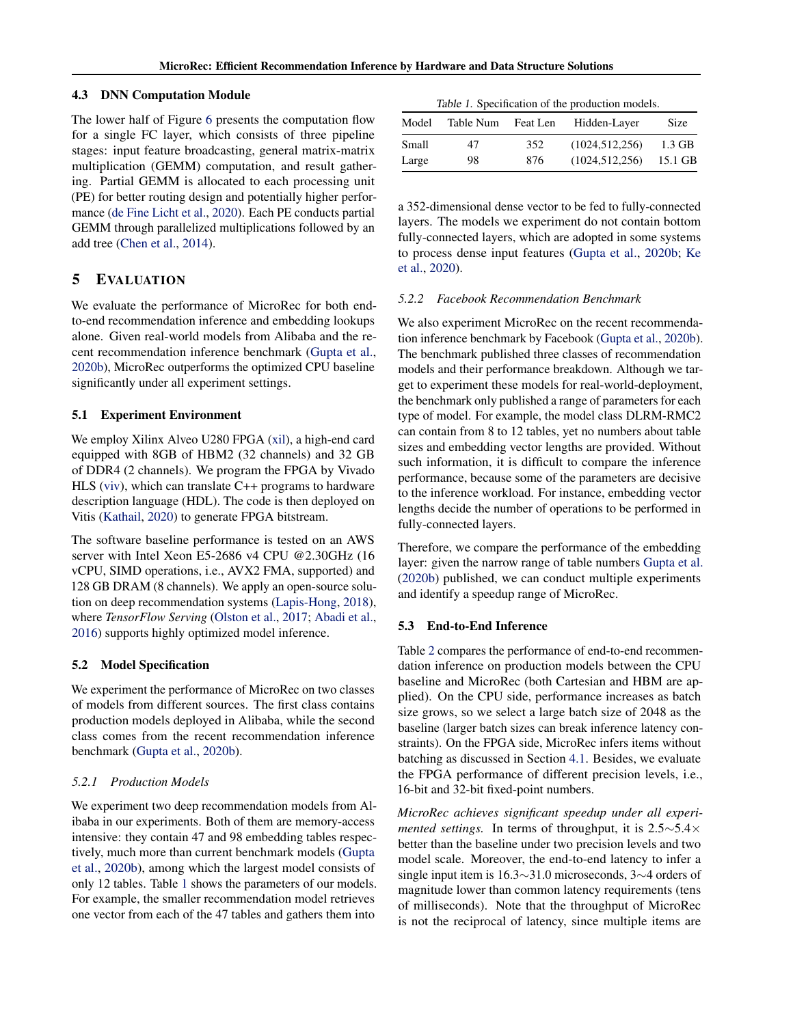#### <span id="page-6-0"></span>4.3 DNN Computation Module

The lower half of Figure [6](#page-5-0) presents the computation flow for a single FC layer, which consists of three pipeline stages: input feature broadcasting, general matrix-matrix multiplication (GEMM) computation, and result gathering. Partial GEMM is allocated to each processing unit (PE) for better routing design and potentially higher performance [\(de Fine Licht et al.,](#page-10-0) [2020\)](#page-10-0). Each PE conducts partial GEMM through parallelized multiplications followed by an add tree [\(Chen et al.,](#page-10-0) [2014\)](#page-10-0).

## 5 EVALUATION

We evaluate the performance of MicroRec for both endto-end recommendation inference and embedding lookups alone. Given real-world models from Alibaba and the recent recommendation inference benchmark [\(Gupta et al.,](#page-11-0) [2020b\)](#page-11-0), MicroRec outperforms the optimized CPU baseline significantly under all experiment settings.

#### 5.1 Experiment Environment

We employ Xilinx Alveo U280 FPGA [\(xil\)](#page-10-0), a high-end card equipped with 8GB of HBM2 (32 channels) and 32 GB of DDR4 (2 channels). We program the FPGA by Vivado HLS [\(viv\)](#page-10-0), which can translate C++ programs to hardware description language (HDL). The code is then deployed on Vitis [\(Kathail,](#page-12-0) [2020\)](#page-12-0) to generate FPGA bitstream.

The software baseline performance is tested on an AWS server with Intel Xeon E5-2686 v4 CPU @2.30GHz (16 vCPU, SIMD operations, i.e., AVX2 FMA, supported) and 128 GB DRAM (8 channels). We apply an open-source solution on deep recommendation systems [\(Lapis-Hong,](#page-12-0) [2018\)](#page-12-0), where *TensorFlow Serving* [\(Olston et al.,](#page-12-0) [2017;](#page-12-0) [Abadi et al.,](#page-10-0) [2016\)](#page-10-0) supports highly optimized model inference.

#### 5.2 Model Specification

We experiment the performance of MicroRec on two classes of models from different sources. The first class contains production models deployed in Alibaba, while the second class comes from the recent recommendation inference benchmark [\(Gupta et al.,](#page-11-0) [2020b\)](#page-11-0).

#### *5.2.1 Production Models*

We experiment two deep recommendation models from Alibaba in our experiments. Both of them are memory-access intensive: they contain 47 and 98 embedding tables respectively, much more than current benchmark models [\(Gupta](#page-11-0) [et al.,](#page-11-0) [2020b\)](#page-11-0), among which the largest model consists of only 12 tables. Table 1 shows the parameters of our models. For example, the smaller recommendation model retrieves one vector from each of the 47 tables and gathers them into

| Table 1. Specification of the production models. |  |  |  |
|--------------------------------------------------|--|--|--|
|--------------------------------------------------|--|--|--|

| Model | Table Num | Feat Len | Hidden-Layer     | Size    |
|-------|-----------|----------|------------------|---------|
| Small | 47        | 352      | (1024, 512, 256) | 1.3 GB  |
| Large | 98        | 876      | (1024, 512, 256) | 15.1 GB |

a 352-dimensional dense vector to be fed to fully-connected layers. The models we experiment do not contain bottom fully-connected layers, which are adopted in some systems to process dense input features [\(Gupta et al.,](#page-11-0) [2020b;](#page-11-0) [Ke](#page-12-0) [et al.,](#page-12-0) [2020\)](#page-12-0).

#### *5.2.2 Facebook Recommendation Benchmark*

We also experiment MicroRec on the recent recommendation inference benchmark by Facebook [\(Gupta et al.,](#page-11-0) [2020b\)](#page-11-0). The benchmark published three classes of recommendation models and their performance breakdown. Although we target to experiment these models for real-world-deployment, the benchmark only published a range of parameters for each type of model. For example, the model class DLRM-RMC2 can contain from 8 to 12 tables, yet no numbers about table sizes and embedding vector lengths are provided. Without such information, it is difficult to compare the inference performance, because some of the parameters are decisive to the inference workload. For instance, embedding vector lengths decide the number of operations to be performed in fully-connected layers.

Therefore, we compare the performance of the embedding layer: given the narrow range of table numbers [Gupta et al.](#page-11-0) [\(2020b\)](#page-11-0) published, we can conduct multiple experiments and identify a speedup range of MicroRec.

### 5.3 End-to-End Inference

Table [2](#page-7-0) compares the performance of end-to-end recommendation inference on production models between the CPU baseline and MicroRec (both Cartesian and HBM are applied). On the CPU side, performance increases as batch size grows, so we select a large batch size of 2048 as the baseline (larger batch sizes can break inference latency constraints). On the FPGA side, MicroRec infers items without batching as discussed in Section [4.1.](#page-5-0) Besides, we evaluate the FPGA performance of different precision levels, i.e., 16-bit and 32-bit fixed-point numbers.

*MicroRec achieves significant speedup under all experimented settings.* In terms of throughput, it is 2.5∼5.4× better than the baseline under two precision levels and two model scale. Moreover, the end-to-end latency to infer a single input item is 16.3∼31.0 microseconds, 3∼4 orders of magnitude lower than common latency requirements (tens of milliseconds). Note that the throughput of MicroRec is not the reciprocal of latency, since multiple items are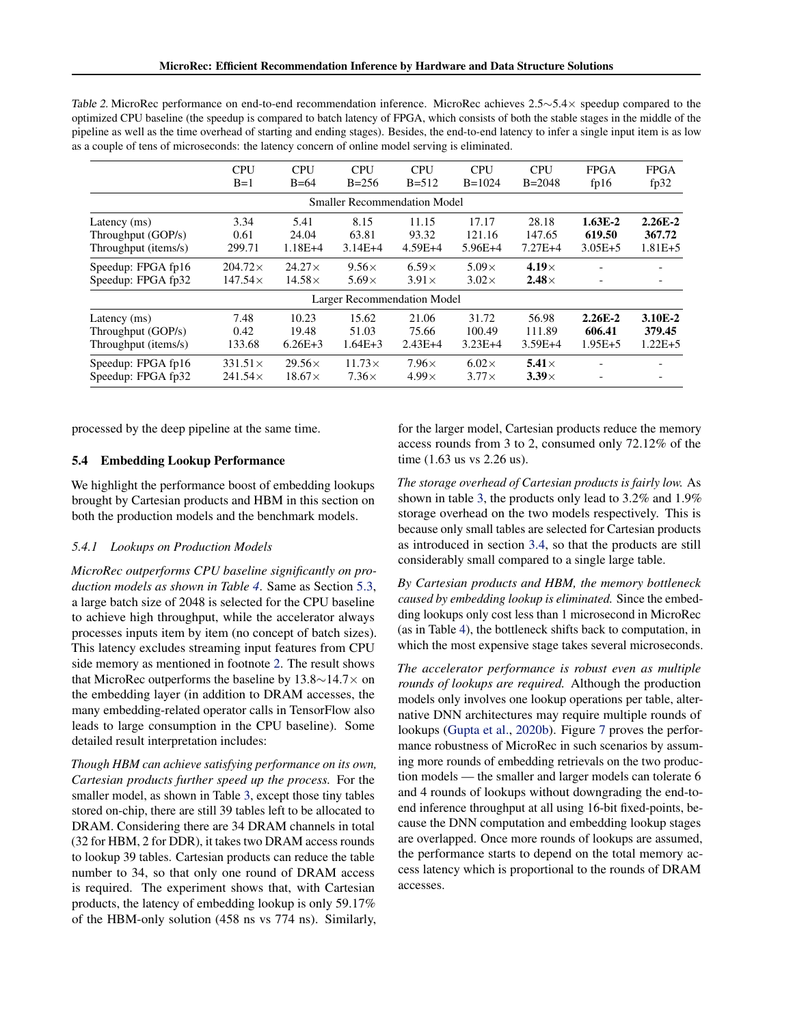|                               | <b>CPU</b><br>$B=1$ | <b>CPU</b><br>$B=64$ | <b>CPU</b><br>$B = 256$             | <b>CPU</b><br>$B = 512$ | <b>CPU</b><br>$B=1024$ | <b>CPU</b><br>$B = 2048$ | <b>FPGA</b><br>fp16 | <b>FPGA</b><br>fp $32$ |
|-------------------------------|---------------------|----------------------|-------------------------------------|-------------------------|------------------------|--------------------------|---------------------|------------------------|
|                               |                     |                      | <b>Smaller Recommendation Model</b> |                         |                        |                          |                     |                        |
| Latency $(ms)$                | 3.34                | 5.41                 | 8.15                                | 11.15                   | 17.17                  | 28.18                    | $1.63E-2$           | $2.26E - 2$            |
| Throughput (GOP/s)            | 0.61                | 24.04                | 63.81                               | 93.32                   | 121.16                 | 147.65                   | 619.50              | 367.72                 |
| Throughput ( <i>items/s</i> ) | 299.71              | $1.18E + 4$          | $3.14E+4$                           | $4.59E+4$               | $5.96E+4$              | $7.27E+4$                | $3.05E + 5$         | $1.81E + 5$            |
| Speedup: FPGA fp16            | $204.72\times$      | $24.27\times$        | $9.56\times$                        | $6.59\times$            | $5.09\times$           | $4.19\times$             |                     |                        |
| Speedup: FPGA fp32            | $147.54\times$      | $14.58\times$        | $5.69\times$                        | $3.91\times$            | $3.02\times$           | $2.48\times$             |                     |                        |
|                               |                     |                      | Larger Recommendation Model         |                         |                        |                          |                     |                        |
| Latency (ms)                  | 7.48                | 10.23                | 15.62                               | 21.06                   | 31.72                  | 56.98                    | $2.26E - 2$         | 3.10E-2                |

Throughput (GOP/s) 0.42 19.48 51.03 75.66 100.49 111.89 606.41 379.45 Throughput (items/s) 133.68 6.26E+3 1.64E+3 2.43E+4 3.23E+4 3.59E+4 1.95E+5 1.22E+5 Speedup: FPGA fp16  $331.51 \times 29.56 \times 11.73 \times 7.96 \times 6.02 \times 5.41 \times -$ Speedup: FPGA fp32 241.54 $\times$  18.67 $\times$  7.36 $\times$  4.99 $\times$  3.77 $\times$  3.39 $\times$  -

<span id="page-7-0"></span>Table 2. MicroRec performance on end-to-end recommendation inference. MicroRec achieves 2.5∼5.4× speedup compared to the optimized CPU baseline (the speedup is compared to batch latency of FPGA, which consists of both the stable stages in the middle of the nineline as well as the time overhead of starting and ending stages). Besides the endpipeline as well as the time overhead of starting and ending stages). Besides, the end-to-end latency to infer a single input item is as low

processed by the deep pipeline at the same time.

#### 5.4 Embedding Lookup Performance

We highlight the performance boost of embedding lookups brought by Cartesian products and HBM in this section on both the production models and the benchmark models.

#### *5.4.1 Lookups on Production Models*

*MicroRec outperforms CPU baseline significantly on production models as shown in Table [4](#page-8-0)*. Same as Section [5.3,](#page-6-0) a large batch size of 2048 is selected for the CPU baseline to achieve high throughput, while the accelerator always processes inputs item by item (no concept of batch sizes). This latency excludes streaming input features from CPU side memory as mentioned in footnote [2.](#page-3-0) The result shows that MicroRec outperforms the baseline by 13.8∼14.7× on the embedding layer (in addition to DRAM accesses, the many embedding-related operator calls in TensorFlow also leads to large consumption in the CPU baseline). Some detailed result interpretation includes:

*Though HBM can achieve satisfying performance on its own, Cartesian products further speed up the process.* For the smaller model, as shown in Table [3,](#page-8-0) except those tiny tables stored on-chip, there are still 39 tables left to be allocated to DRAM. Considering there are 34 DRAM channels in total (32 for HBM, 2 for DDR), it takes two DRAM access rounds to lookup 39 tables. Cartesian products can reduce the table number to 34, so that only one round of DRAM access is required. The experiment shows that, with Cartesian products, the latency of embedding lookup is only 59.17% of the HBM-only solution (458 ns vs 774 ns). Similarly, for the larger model, Cartesian products reduce the memory access rounds from 3 to 2, consumed only 72.12% of the time (1.63 us vs 2.26 us).

*The storage overhead of Cartesian products is fairly low.* As shown in table [3,](#page-8-0) the products only lead to 3.2% and 1.9% storage overhead on the two models respectively. This is because only small tables are selected for Cartesian products as introduced in section [3.4,](#page-4-0) so that the products are still considerably small compared to a single large table.

*By Cartesian products and HBM, the memory bottleneck caused by embedding lookup is eliminated.* Since the embedding lookups only cost less than 1 microsecond in MicroRec (as in Table [4\)](#page-8-0), the bottleneck shifts back to computation, in which the most expensive stage takes several microseconds.

*The accelerator performance is robust even as multiple rounds of lookups are required.* Although the production models only involves one lookup operations per table, alternative DNN architectures may require multiple rounds of lookups [\(Gupta et al.,](#page-11-0) [2020b\)](#page-11-0). Figure [7](#page-8-0) proves the performance robustness of MicroRec in such scenarios by assuming more rounds of embedding retrievals on the two production models — the smaller and larger models can tolerate 6 and 4 rounds of lookups without downgrading the end-toend inference throughput at all using 16-bit fixed-points, because the DNN computation and embedding lookup stages are overlapped. Once more rounds of lookups are assumed, the performance starts to depend on the total memory access latency which is proportional to the rounds of DRAM accesses.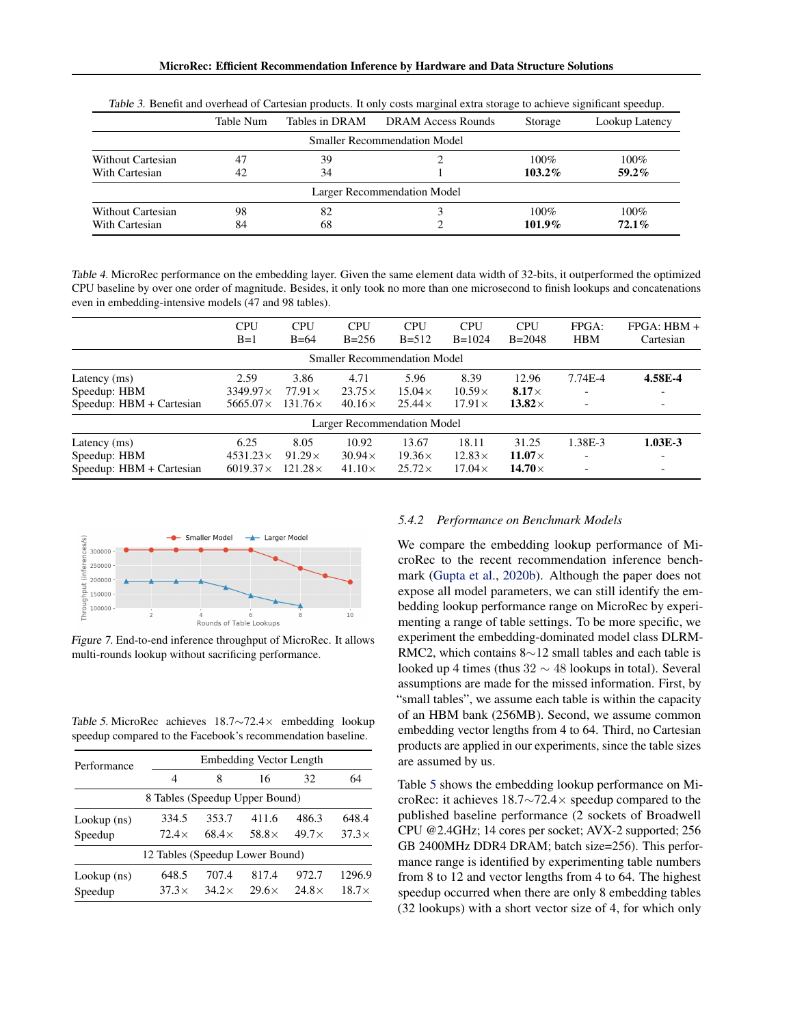<span id="page-8-0"></span>

|                   | Table Num | Tables in DRAM | <b>DRAM Access Rounds</b>           | Storage   | Lookup Latency |
|-------------------|-----------|----------------|-------------------------------------|-----------|----------------|
|                   |           |                | <b>Smaller Recommendation Model</b> |           |                |
| Without Cartesian | 47        | 39             |                                     | $100\%$   | $100\%$        |
| With Cartesian    | 42        | 34             |                                     | $103.2\%$ | $59.2\%$       |
|                   |           |                | Larger Recommendation Model         |           |                |
| Without Cartesian | 98        | 82             |                                     | $100\%$   | $100\%$        |
| With Cartesian    | 84        | 68             |                                     | $101.9\%$ | $72.1\%$       |

Table 3. Benefit and overhead of Cartesian products. It only costs marginal extra storage to achieve significant speedup.

Table 4. MicroRec performance on the embedding layer. Given the same element data width of 32-bits, it outperformed the optimized CPU baseline by over one order of magnitude. Besides, it only took no more than one microsecond to finish lookups and concatenations even in embedding-intensive models (47 and 98 tables).

|                          | <b>CPU</b><br>$B=1$ | <b>CPU</b><br>$B=64$ | <b>CPU</b><br>$B = 256$             | <b>CPU</b><br>$B = 512$ | <b>CPU</b><br>$B=1024$ | <b>CPU</b><br>$B = 2048$ | FPGA:<br><b>HBM</b> | $FPGA: HBM +$<br>Cartesian |
|--------------------------|---------------------|----------------------|-------------------------------------|-------------------------|------------------------|--------------------------|---------------------|----------------------------|
|                          |                     |                      | <b>Smaller Recommendation Model</b> |                         |                        |                          |                     |                            |
| Latency (ms)             | 2.59                | 3.86                 | 4.71                                | 5.96                    | 8.39                   | 12.96                    | 7.74E-4             | 4.58E-4                    |
| Speedup: HBM             | $3349.97\times$     | $77.91\times$        | $23.75\times$                       | $15.04\times$           | $10.59\times$          | $8.17\times$             |                     |                            |
| Speedup: HBM + Cartesian | 5665.07 $\times$    | $131.76\times$       | $40.16\times$                       | $25.44\times$           | $17.91\times$          | 13.82 $\times$           |                     | $\overline{\phantom{0}}$   |
|                          |                     |                      | <b>Larger Recommendation Model</b>  |                         |                        |                          |                     |                            |
| Latency (ms)             | 6.25                | 8.05                 | 10.92                               | 13.67                   | 18.11                  | 31.25                    | 1.38E-3             | $1.03E-3$                  |
| Speedup: HBM             | $4531.23\times$     | $91.29\times$        | $30.94\times$                       | $19.36\times$           | $12.83\times$          | $11.07\times$            |                     | -                          |
| Speedup: HBM + Cartesian | $6019.37\times$     | $121.28\times$       | $41.10\times$                       | $25.72\times$           | $17.04\times$          | 14.70 $\times$           |                     | -                          |



Figure 7. End-to-end inference throughput of MicroRec. It allows multi-rounds lookup without sacrificing performance.

Table 5. MicroRec achieves 18.7∼72.4× embedding lookup speedup compared to the Facebook's recommendation baseline.

| Performance              |                                 |                       | Embedding Vector Length |                       |                        |
|--------------------------|---------------------------------|-----------------------|-------------------------|-----------------------|------------------------|
|                          | 4                               | 8                     | 16                      | 32                    | 64                     |
|                          | 8 Tables (Speedup Upper Bound)  |                       |                         |                       |                        |
| Lookup (ns)<br>Speedup   | 334.5<br>$72.4\times$           | 353.7<br>$68.4\times$ | 411.6<br>$58.8\times$   | 486.3<br>$49.7\times$ | 648.4<br>$37.3\times$  |
|                          | 12 Tables (Speedup Lower Bound) |                       |                         |                       |                        |
| $Lookup$ (ns)<br>Speedup | 648.5<br>$37.3\times$           | 707.4<br>$34.2\times$ | 817.4<br>$29.6\times$   | 972.7<br>$24.8\times$ | 1296.9<br>$18.7\times$ |

#### *5.4.2 Performance on Benchmark Models*

We compare the embedding lookup performance of MicroRec to the recent recommendation inference benchmark [\(Gupta et al.,](#page-11-0) [2020b\)](#page-11-0). Although the paper does not expose all model parameters, we can still identify the embedding lookup performance range on MicroRec by experimenting a range of table settings. To be more specific, we experiment the embedding-dominated model class DLRM-RMC2, which contains 8∼12 small tables and each table is looked up 4 times (thus 32 ∼ 48 lookups in total). Several assumptions are made for the missed information. First, by "small tables", we assume each table is within the capacity of an HBM bank (256MB). Second, we assume common embedding vector lengths from 4 to 64. Third, no Cartesian products are applied in our experiments, since the table sizes are assumed by us.

Table 5 shows the embedding lookup performance on MicroRec: it achieves 18.7∼72.4× speedup compared to the published baseline performance (2 sockets of Broadwell CPU @2.4GHz; 14 cores per socket; AVX-2 supported; 256 GB 2400MHz DDR4 DRAM; batch size=256). This performance range is identified by experimenting table numbers from 8 to 12 and vector lengths from 4 to 64. The highest speedup occurred when there are only 8 embedding tables (32 lookups) with a short vector size of 4, for which only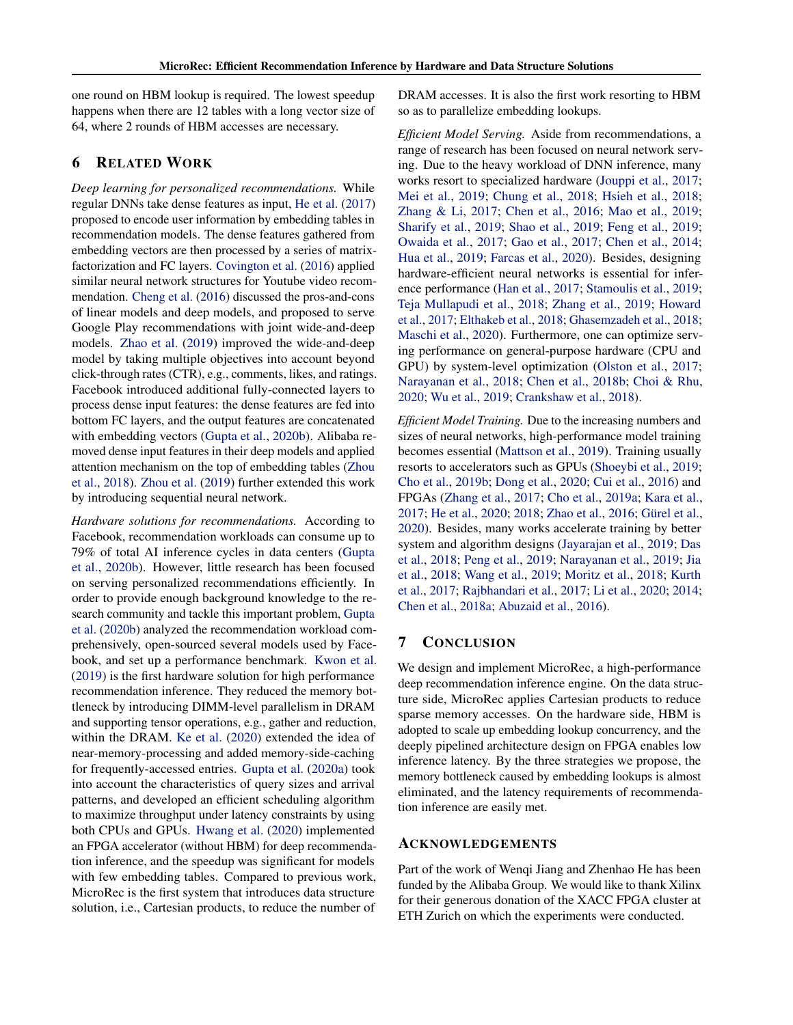one round on HBM lookup is required. The lowest speedup happens when there are 12 tables with a long vector size of 64, where 2 rounds of HBM accesses are necessary.

## 6 RELATED WORK

*Deep learning for personalized recommendations.* While regular DNNs take dense features as input, [He et al.](#page-11-0) [\(2017\)](#page-11-0) proposed to encode user information by embedding tables in recommendation models. The dense features gathered from embedding vectors are then processed by a series of matrixfactorization and FC layers. [Covington et al.](#page-10-0) [\(2016\)](#page-10-0) applied similar neural network structures for Youtube video recommendation. [Cheng et al.](#page-10-0) [\(2016\)](#page-10-0) discussed the pros-and-cons of linear models and deep models, and proposed to serve Google Play recommendations with joint wide-and-deep models. [Zhao et al.](#page-13-0) [\(2019\)](#page-13-0) improved the wide-and-deep model by taking multiple objectives into account beyond click-through rates (CTR), e.g., comments, likes, and ratings. Facebook introduced additional fully-connected layers to process dense input features: the dense features are fed into bottom FC layers, and the output features are concatenated with embedding vectors [\(Gupta et al.,](#page-11-0) [2020b\)](#page-11-0). Alibaba removed dense input features in their deep models and applied attention mechanism on the top of embedding tables [\(Zhou](#page-13-0) [et al.,](#page-13-0) [2018\)](#page-13-0). [Zhou et al.](#page-13-0) [\(2019\)](#page-13-0) further extended this work by introducing sequential neural network.

*Hardware solutions for recommendations.* According to Facebook, recommendation workloads can consume up to 79% of total AI inference cycles in data centers [\(Gupta](#page-11-0) [et al.,](#page-11-0) [2020b\)](#page-11-0). However, little research has been focused on serving personalized recommendations efficiently. In order to provide enough background knowledge to the research community and tackle this important problem, [Gupta](#page-11-0) [et al.](#page-11-0) [\(2020b\)](#page-11-0) analyzed the recommendation workload comprehensively, open-sourced several models used by Facebook, and set up a performance benchmark. [Kwon et al.](#page-12-0) [\(2019\)](#page-12-0) is the first hardware solution for high performance recommendation inference. They reduced the memory bottleneck by introducing DIMM-level parallelism in DRAM and supporting tensor operations, e.g., gather and reduction, within the DRAM. [Ke et al.](#page-12-0) [\(2020\)](#page-12-0) extended the idea of near-memory-processing and added memory-side-caching for frequently-accessed entries. [Gupta et al.](#page-11-0) [\(2020a\)](#page-11-0) took into account the characteristics of query sizes and arrival patterns, and developed an efficient scheduling algorithm to maximize throughput under latency constraints by using both CPUs and GPUs. [Hwang et al.](#page-11-0) [\(2020\)](#page-11-0) implemented an FPGA accelerator (without HBM) for deep recommendation inference, and the speedup was significant for models with few embedding tables. Compared to previous work, MicroRec is the first system that introduces data structure solution, i.e., Cartesian products, to reduce the number of

DRAM accesses. It is also the first work resorting to HBM so as to parallelize embedding lookups.

*Efficient Model Serving.* Aside from recommendations, a range of research has been focused on neural network serving. Due to the heavy workload of DNN inference, many works resort to specialized hardware [\(Jouppi et al.,](#page-11-0) [2017;](#page-11-0) [Mei et al.,](#page-12-0) [2019;](#page-12-0) [Chung et al.,](#page-10-0) [2018;](#page-10-0) [Hsieh et al.,](#page-11-0) [2018;](#page-11-0) [Zhang & Li,](#page-13-0) [2017;](#page-13-0) [Chen et al.,](#page-10-0) [2016;](#page-10-0) [Mao et al.,](#page-12-0) [2019;](#page-12-0) [Sharify et al.,](#page-13-0) [2019;](#page-13-0) [Shao et al.,](#page-13-0) [2019;](#page-13-0) [Feng et al.,](#page-11-0) [2019;](#page-11-0) [Owaida et al.,](#page-12-0) [2017;](#page-12-0) [Gao et al.,](#page-11-0) [2017;](#page-11-0) [Chen et al.,](#page-10-0) [2014;](#page-10-0) [Hua et al.,](#page-11-0) [2019;](#page-11-0) [Farcas et al.,](#page-11-0) [2020\)](#page-11-0). Besides, designing hardware-efficient neural networks is essential for inference performance [\(Han et al.,](#page-11-0) [2017;](#page-11-0) [Stamoulis et al.,](#page-13-0) [2019;](#page-13-0) [Teja Mullapudi et al.,](#page-13-0) [2018;](#page-13-0) [Zhang et al.,](#page-13-0) [2019;](#page-13-0) [Howard](#page-11-0) [et al.,](#page-11-0) [2017;](#page-11-0) [Elthakeb et al.,](#page-11-0) [2018;](#page-11-0) [Ghasemzadeh et al.,](#page-11-0) [2018;](#page-11-0) [Maschi et al.,](#page-12-0) [2020\)](#page-12-0). Furthermore, one can optimize serving performance on general-purpose hardware (CPU and GPU) by system-level optimization [\(Olston et al.,](#page-12-0) [2017;](#page-12-0) [Narayanan et al.,](#page-12-0) [2018;](#page-12-0) [Chen et al.,](#page-10-0) [2018b;](#page-10-0) [Choi & Rhu,](#page-10-0) [2020;](#page-10-0) [Wu et al.,](#page-13-0) [2019;](#page-13-0) [Crankshaw et al.,](#page-10-0) [2018\)](#page-10-0).

*Efficient Model Training.* Due to the increasing numbers and sizes of neural networks, high-performance model training becomes essential [\(Mattson et al.,](#page-12-0) [2019\)](#page-12-0). Training usually resorts to accelerators such as GPUs [\(Shoeybi et al.,](#page-13-0) [2019;](#page-13-0) [Cho et al.,](#page-10-0) [2019b;](#page-10-0) [Dong et al.,](#page-10-0) [2020;](#page-10-0) [Cui et al.,](#page-10-0) [2016\)](#page-10-0) and FPGAs [\(Zhang et al.,](#page-13-0) [2017;](#page-13-0) [Cho et al.,](#page-10-0) [2019a;](#page-10-0) [Kara et al.,](#page-12-0) [2017;](#page-12-0) [He et al.,](#page-11-0) [2020;](#page-11-0) [2018;](#page-11-0) [Zhao et al.,](#page-13-0) [2016;](#page-13-0) Gürel et al., [2020\)](#page-11-0). Besides, many works accelerate training by better system and algorithm designs [\(Jayarajan et al.,](#page-11-0) [2019;](#page-11-0) [Das](#page-10-0) [et al.,](#page-10-0) [2018;](#page-10-0) [Peng et al.,](#page-13-0) [2019;](#page-13-0) [Narayanan et al.,](#page-12-0) [2019;](#page-12-0) [Jia](#page-11-0) [et al.,](#page-11-0) [2018;](#page-11-0) [Wang et al.,](#page-13-0) [2019;](#page-13-0) [Moritz et al.,](#page-12-0) [2018;](#page-12-0) [Kurth](#page-12-0) [et al.,](#page-12-0) [2017;](#page-12-0) [Rajbhandari et al.,](#page-13-0) [2017;](#page-13-0) [Li et al.,](#page-12-0) [2020;](#page-12-0) [2014;](#page-12-0) [Chen et al.,](#page-10-0) [2018a;](#page-10-0) [Abuzaid et al.,](#page-10-0) [2016\)](#page-10-0).

## 7 CONCLUSION

We design and implement MicroRec, a high-performance deep recommendation inference engine. On the data structure side, MicroRec applies Cartesian products to reduce sparse memory accesses. On the hardware side, HBM is adopted to scale up embedding lookup concurrency, and the deeply pipelined architecture design on FPGA enables low inference latency. By the three strategies we propose, the memory bottleneck caused by embedding lookups is almost eliminated, and the latency requirements of recommendation inference are easily met.

## ACKNOWLEDGEMENTS

Part of the work of Wenqi Jiang and Zhenhao He has been funded by the Alibaba Group. We would like to thank Xilinx for their generous donation of the XACC FPGA cluster at ETH Zurich on which the experiments were conducted.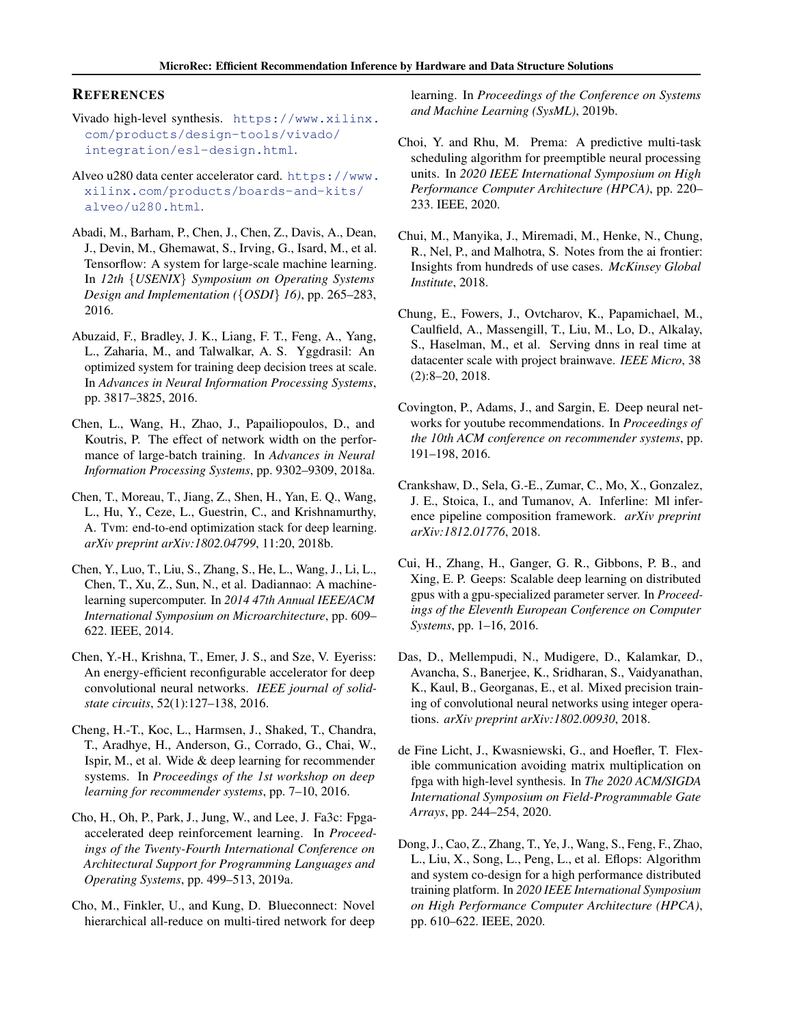## <span id="page-10-0"></span>**REFERENCES**

- Vivado high-level synthesis. [https://www.xilinx.](https://www.xilinx.com/products/design-tools/vivado/integration/esl-design.html) [com/products/design-tools/vivado/](https://www.xilinx.com/products/design-tools/vivado/integration/esl-design.html) [integration/esl-design.html](https://www.xilinx.com/products/design-tools/vivado/integration/esl-design.html).
- Alveo u280 data center accelerator card. [https://www.](https://www.xilinx.com/products/boards-and-kits/alveo/u280.html) [xilinx.com/products/boards-and-kits/](https://www.xilinx.com/products/boards-and-kits/alveo/u280.html) [alveo/u280.html](https://www.xilinx.com/products/boards-and-kits/alveo/u280.html).
- Abadi, M., Barham, P., Chen, J., Chen, Z., Davis, A., Dean, J., Devin, M., Ghemawat, S., Irving, G., Isard, M., et al. Tensorflow: A system for large-scale machine learning. In *12th* {*USENIX*} *Symposium on Operating Systems Design and Implementation (*{*OSDI*} *16)*, pp. 265–283, 2016.
- Abuzaid, F., Bradley, J. K., Liang, F. T., Feng, A., Yang, L., Zaharia, M., and Talwalkar, A. S. Yggdrasil: An optimized system for training deep decision trees at scale. In *Advances in Neural Information Processing Systems*, pp. 3817–3825, 2016.
- Chen, L., Wang, H., Zhao, J., Papailiopoulos, D., and Koutris, P. The effect of network width on the performance of large-batch training. In *Advances in Neural Information Processing Systems*, pp. 9302–9309, 2018a.
- Chen, T., Moreau, T., Jiang, Z., Shen, H., Yan, E. Q., Wang, L., Hu, Y., Ceze, L., Guestrin, C., and Krishnamurthy, A. Tvm: end-to-end optimization stack for deep learning. *arXiv preprint arXiv:1802.04799*, 11:20, 2018b.
- Chen, Y., Luo, T., Liu, S., Zhang, S., He, L., Wang, J., Li, L., Chen, T., Xu, Z., Sun, N., et al. Dadiannao: A machinelearning supercomputer. In *2014 47th Annual IEEE/ACM International Symposium on Microarchitecture*, pp. 609– 622. IEEE, 2014.
- Chen, Y.-H., Krishna, T., Emer, J. S., and Sze, V. Eyeriss: An energy-efficient reconfigurable accelerator for deep convolutional neural networks. *IEEE journal of solidstate circuits*, 52(1):127–138, 2016.
- Cheng, H.-T., Koc, L., Harmsen, J., Shaked, T., Chandra, T., Aradhye, H., Anderson, G., Corrado, G., Chai, W., Ispir, M., et al. Wide & deep learning for recommender systems. In *Proceedings of the 1st workshop on deep learning for recommender systems*, pp. 7–10, 2016.
- Cho, H., Oh, P., Park, J., Jung, W., and Lee, J. Fa3c: Fpgaaccelerated deep reinforcement learning. In *Proceedings of the Twenty-Fourth International Conference on Architectural Support for Programming Languages and Operating Systems*, pp. 499–513, 2019a.
- Cho, M., Finkler, U., and Kung, D. Blueconnect: Novel hierarchical all-reduce on multi-tired network for deep

learning. In *Proceedings of the Conference on Systems and Machine Learning (SysML)*, 2019b.

- Choi, Y. and Rhu, M. Prema: A predictive multi-task scheduling algorithm for preemptible neural processing units. In *2020 IEEE International Symposium on High Performance Computer Architecture (HPCA)*, pp. 220– 233. IEEE, 2020.
- Chui, M., Manyika, J., Miremadi, M., Henke, N., Chung, R., Nel, P., and Malhotra, S. Notes from the ai frontier: Insights from hundreds of use cases. *McKinsey Global Institute*, 2018.
- Chung, E., Fowers, J., Ovtcharov, K., Papamichael, M., Caulfield, A., Massengill, T., Liu, M., Lo, D., Alkalay, S., Haselman, M., et al. Serving dnns in real time at datacenter scale with project brainwave. *IEEE Micro*, 38 (2):8–20, 2018.
- Covington, P., Adams, J., and Sargin, E. Deep neural networks for youtube recommendations. In *Proceedings of the 10th ACM conference on recommender systems*, pp. 191–198, 2016.
- Crankshaw, D., Sela, G.-E., Zumar, C., Mo, X., Gonzalez, J. E., Stoica, I., and Tumanov, A. Inferline: Ml inference pipeline composition framework. *arXiv preprint arXiv:1812.01776*, 2018.
- Cui, H., Zhang, H., Ganger, G. R., Gibbons, P. B., and Xing, E. P. Geeps: Scalable deep learning on distributed gpus with a gpu-specialized parameter server. In *Proceedings of the Eleventh European Conference on Computer Systems*, pp. 1–16, 2016.
- Das, D., Mellempudi, N., Mudigere, D., Kalamkar, D., Avancha, S., Banerjee, K., Sridharan, S., Vaidyanathan, K., Kaul, B., Georganas, E., et al. Mixed precision training of convolutional neural networks using integer operations. *arXiv preprint arXiv:1802.00930*, 2018.
- de Fine Licht, J., Kwasniewski, G., and Hoefler, T. Flexible communication avoiding matrix multiplication on fpga with high-level synthesis. In *The 2020 ACM/SIGDA International Symposium on Field-Programmable Gate Arrays*, pp. 244–254, 2020.
- Dong, J., Cao, Z., Zhang, T., Ye, J., Wang, S., Feng, F., Zhao, L., Liu, X., Song, L., Peng, L., et al. Eflops: Algorithm and system co-design for a high performance distributed training platform. In *2020 IEEE International Symposium on High Performance Computer Architecture (HPCA)*, pp. 610–622. IEEE, 2020.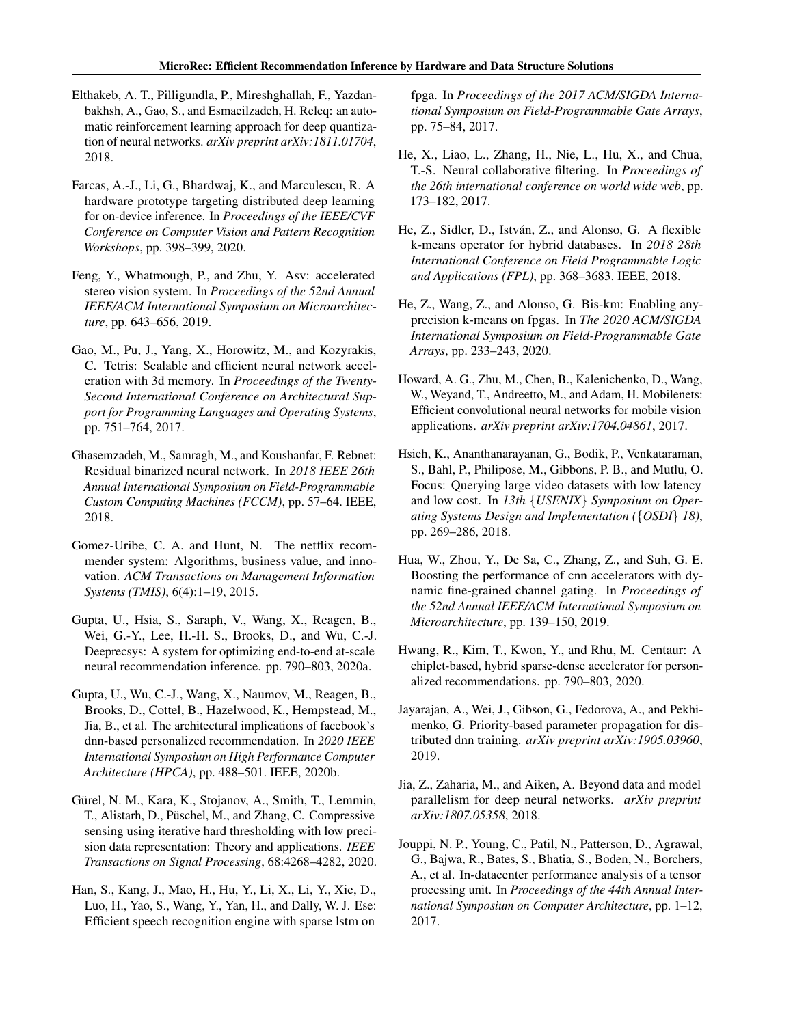- <span id="page-11-0"></span>Elthakeb, A. T., Pilligundla, P., Mireshghallah, F., Yazdanbakhsh, A., Gao, S., and Esmaeilzadeh, H. Releq: an automatic reinforcement learning approach for deep quantization of neural networks. *arXiv preprint arXiv:1811.01704*, 2018.
- Farcas, A.-J., Li, G., Bhardwaj, K., and Marculescu, R. A hardware prototype targeting distributed deep learning for on-device inference. In *Proceedings of the IEEE/CVF Conference on Computer Vision and Pattern Recognition Workshops*, pp. 398–399, 2020.
- Feng, Y., Whatmough, P., and Zhu, Y. Asv: accelerated stereo vision system. In *Proceedings of the 52nd Annual IEEE/ACM International Symposium on Microarchitecture*, pp. 643–656, 2019.
- Gao, M., Pu, J., Yang, X., Horowitz, M., and Kozyrakis, C. Tetris: Scalable and efficient neural network acceleration with 3d memory. In *Proceedings of the Twenty-Second International Conference on Architectural Support for Programming Languages and Operating Systems*, pp. 751–764, 2017.
- Ghasemzadeh, M., Samragh, M., and Koushanfar, F. Rebnet: Residual binarized neural network. In *2018 IEEE 26th Annual International Symposium on Field-Programmable Custom Computing Machines (FCCM)*, pp. 57–64. IEEE, 2018.
- Gomez-Uribe, C. A. and Hunt, N. The netflix recommender system: Algorithms, business value, and innovation. *ACM Transactions on Management Information Systems (TMIS)*, 6(4):1–19, 2015.
- Gupta, U., Hsia, S., Saraph, V., Wang, X., Reagen, B., Wei, G.-Y., Lee, H.-H. S., Brooks, D., and Wu, C.-J. Deeprecsys: A system for optimizing end-to-end at-scale neural recommendation inference. pp. 790–803, 2020a.
- Gupta, U., Wu, C.-J., Wang, X., Naumov, M., Reagen, B., Brooks, D., Cottel, B., Hazelwood, K., Hempstead, M., Jia, B., et al. The architectural implications of facebook's dnn-based personalized recommendation. In *2020 IEEE International Symposium on High Performance Computer Architecture (HPCA)*, pp. 488–501. IEEE, 2020b.
- Gürel, N. M., Kara, K., Stojanov, A., Smith, T., Lemmin, T., Alistarh, D., Puschel, M., and Zhang, C. Compressive ¨ sensing using iterative hard thresholding with low precision data representation: Theory and applications. *IEEE Transactions on Signal Processing*, 68:4268–4282, 2020.
- Han, S., Kang, J., Mao, H., Hu, Y., Li, X., Li, Y., Xie, D., Luo, H., Yao, S., Wang, Y., Yan, H., and Dally, W. J. Ese: Efficient speech recognition engine with sparse lstm on

fpga. In *Proceedings of the 2017 ACM/SIGDA International Symposium on Field-Programmable Gate Arrays*, pp. 75–84, 2017.

- He, X., Liao, L., Zhang, H., Nie, L., Hu, X., and Chua, T.-S. Neural collaborative filtering. In *Proceedings of the 26th international conference on world wide web*, pp. 173–182, 2017.
- He, Z., Sidler, D., István, Z., and Alonso, G. A flexible k-means operator for hybrid databases. In *2018 28th International Conference on Field Programmable Logic and Applications (FPL)*, pp. 368–3683. IEEE, 2018.
- He, Z., Wang, Z., and Alonso, G. Bis-km: Enabling anyprecision k-means on fpgas. In *The 2020 ACM/SIGDA International Symposium on Field-Programmable Gate Arrays*, pp. 233–243, 2020.
- Howard, A. G., Zhu, M., Chen, B., Kalenichenko, D., Wang, W., Weyand, T., Andreetto, M., and Adam, H. Mobilenets: Efficient convolutional neural networks for mobile vision applications. *arXiv preprint arXiv:1704.04861*, 2017.
- Hsieh, K., Ananthanarayanan, G., Bodik, P., Venkataraman, S., Bahl, P., Philipose, M., Gibbons, P. B., and Mutlu, O. Focus: Querying large video datasets with low latency and low cost. In *13th* {*USENIX*} *Symposium on Operating Systems Design and Implementation (*{*OSDI*} *18)*, pp. 269–286, 2018.
- Hua, W., Zhou, Y., De Sa, C., Zhang, Z., and Suh, G. E. Boosting the performance of cnn accelerators with dynamic fine-grained channel gating. In *Proceedings of the 52nd Annual IEEE/ACM International Symposium on Microarchitecture*, pp. 139–150, 2019.
- Hwang, R., Kim, T., Kwon, Y., and Rhu, M. Centaur: A chiplet-based, hybrid sparse-dense accelerator for personalized recommendations. pp. 790–803, 2020.
- Jayarajan, A., Wei, J., Gibson, G., Fedorova, A., and Pekhimenko, G. Priority-based parameter propagation for distributed dnn training. *arXiv preprint arXiv:1905.03960*, 2019.
- Jia, Z., Zaharia, M., and Aiken, A. Beyond data and model parallelism for deep neural networks. *arXiv preprint arXiv:1807.05358*, 2018.
- Jouppi, N. P., Young, C., Patil, N., Patterson, D., Agrawal, G., Bajwa, R., Bates, S., Bhatia, S., Boden, N., Borchers, A., et al. In-datacenter performance analysis of a tensor processing unit. In *Proceedings of the 44th Annual International Symposium on Computer Architecture*, pp. 1–12, 2017.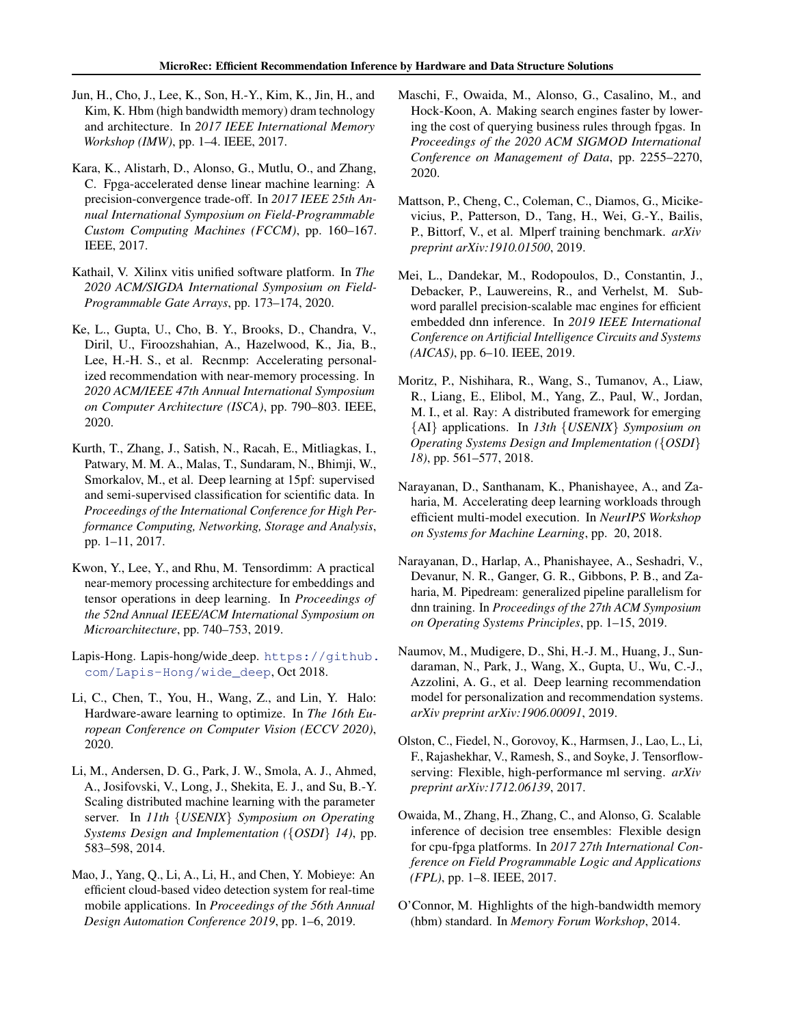- <span id="page-12-0"></span>Jun, H., Cho, J., Lee, K., Son, H.-Y., Kim, K., Jin, H., and Kim, K. Hbm (high bandwidth memory) dram technology and architecture. In *2017 IEEE International Memory Workshop (IMW)*, pp. 1–4. IEEE, 2017.
- Kara, K., Alistarh, D., Alonso, G., Mutlu, O., and Zhang, C. Fpga-accelerated dense linear machine learning: A precision-convergence trade-off. In *2017 IEEE 25th Annual International Symposium on Field-Programmable Custom Computing Machines (FCCM)*, pp. 160–167. IEEE, 2017.
- Kathail, V. Xilinx vitis unified software platform. In *The 2020 ACM/SIGDA International Symposium on Field-Programmable Gate Arrays*, pp. 173–174, 2020.
- Ke, L., Gupta, U., Cho, B. Y., Brooks, D., Chandra, V., Diril, U., Firoozshahian, A., Hazelwood, K., Jia, B., Lee, H.-H. S., et al. Recnmp: Accelerating personalized recommendation with near-memory processing. In *2020 ACM/IEEE 47th Annual International Symposium on Computer Architecture (ISCA)*, pp. 790–803. IEEE, 2020.
- Kurth, T., Zhang, J., Satish, N., Racah, E., Mitliagkas, I., Patwary, M. M. A., Malas, T., Sundaram, N., Bhimji, W., Smorkalov, M., et al. Deep learning at 15pf: supervised and semi-supervised classification for scientific data. In *Proceedings of the International Conference for High Performance Computing, Networking, Storage and Analysis*, pp. 1–11, 2017.
- Kwon, Y., Lee, Y., and Rhu, M. Tensordimm: A practical near-memory processing architecture for embeddings and tensor operations in deep learning. In *Proceedings of the 52nd Annual IEEE/ACM International Symposium on Microarchitecture*, pp. 740–753, 2019.
- Lapis-Hong. Lapis-hong/wide\_deep. [https://github.](https://github.com/Lapis-Hong/wide_deep) [com/Lapis-Hong/wide\\_deep](https://github.com/Lapis-Hong/wide_deep), Oct 2018.
- Li, C., Chen, T., You, H., Wang, Z., and Lin, Y. Halo: Hardware-aware learning to optimize. In *The 16th European Conference on Computer Vision (ECCV 2020)*, 2020.
- Li, M., Andersen, D. G., Park, J. W., Smola, A. J., Ahmed, A., Josifovski, V., Long, J., Shekita, E. J., and Su, B.-Y. Scaling distributed machine learning with the parameter server. In *11th* {*USENIX*} *Symposium on Operating Systems Design and Implementation (*{*OSDI*} *14)*, pp. 583–598, 2014.
- Mao, J., Yang, Q., Li, A., Li, H., and Chen, Y. Mobieye: An efficient cloud-based video detection system for real-time mobile applications. In *Proceedings of the 56th Annual Design Automation Conference 2019*, pp. 1–6, 2019.
- Maschi, F., Owaida, M., Alonso, G., Casalino, M., and Hock-Koon, A. Making search engines faster by lowering the cost of querying business rules through fpgas. In *Proceedings of the 2020 ACM SIGMOD International Conference on Management of Data*, pp. 2255–2270, 2020.
- Mattson, P., Cheng, C., Coleman, C., Diamos, G., Micikevicius, P., Patterson, D., Tang, H., Wei, G.-Y., Bailis, P., Bittorf, V., et al. Mlperf training benchmark. *arXiv preprint arXiv:1910.01500*, 2019.
- Mei, L., Dandekar, M., Rodopoulos, D., Constantin, J., Debacker, P., Lauwereins, R., and Verhelst, M. Subword parallel precision-scalable mac engines for efficient embedded dnn inference. In *2019 IEEE International Conference on Artificial Intelligence Circuits and Systems (AICAS)*, pp. 6–10. IEEE, 2019.
- Moritz, P., Nishihara, R., Wang, S., Tumanov, A., Liaw, R., Liang, E., Elibol, M., Yang, Z., Paul, W., Jordan, M. I., et al. Ray: A distributed framework for emerging {AI} applications. In *13th* {*USENIX*} *Symposium on Operating Systems Design and Implementation (*{*OSDI*} *18)*, pp. 561–577, 2018.
- Narayanan, D., Santhanam, K., Phanishayee, A., and Zaharia, M. Accelerating deep learning workloads through efficient multi-model execution. In *NeurIPS Workshop on Systems for Machine Learning*, pp. 20, 2018.
- Narayanan, D., Harlap, A., Phanishayee, A., Seshadri, V., Devanur, N. R., Ganger, G. R., Gibbons, P. B., and Zaharia, M. Pipedream: generalized pipeline parallelism for dnn training. In *Proceedings of the 27th ACM Symposium on Operating Systems Principles*, pp. 1–15, 2019.
- Naumov, M., Mudigere, D., Shi, H.-J. M., Huang, J., Sundaraman, N., Park, J., Wang, X., Gupta, U., Wu, C.-J., Azzolini, A. G., et al. Deep learning recommendation model for personalization and recommendation systems. *arXiv preprint arXiv:1906.00091*, 2019.
- Olston, C., Fiedel, N., Gorovoy, K., Harmsen, J., Lao, L., Li, F., Rajashekhar, V., Ramesh, S., and Soyke, J. Tensorflowserving: Flexible, high-performance ml serving. *arXiv preprint arXiv:1712.06139*, 2017.
- Owaida, M., Zhang, H., Zhang, C., and Alonso, G. Scalable inference of decision tree ensembles: Flexible design for cpu-fpga platforms. In *2017 27th International Conference on Field Programmable Logic and Applications (FPL)*, pp. 1–8. IEEE, 2017.
- O'Connor, M. Highlights of the high-bandwidth memory (hbm) standard. In *Memory Forum Workshop*, 2014.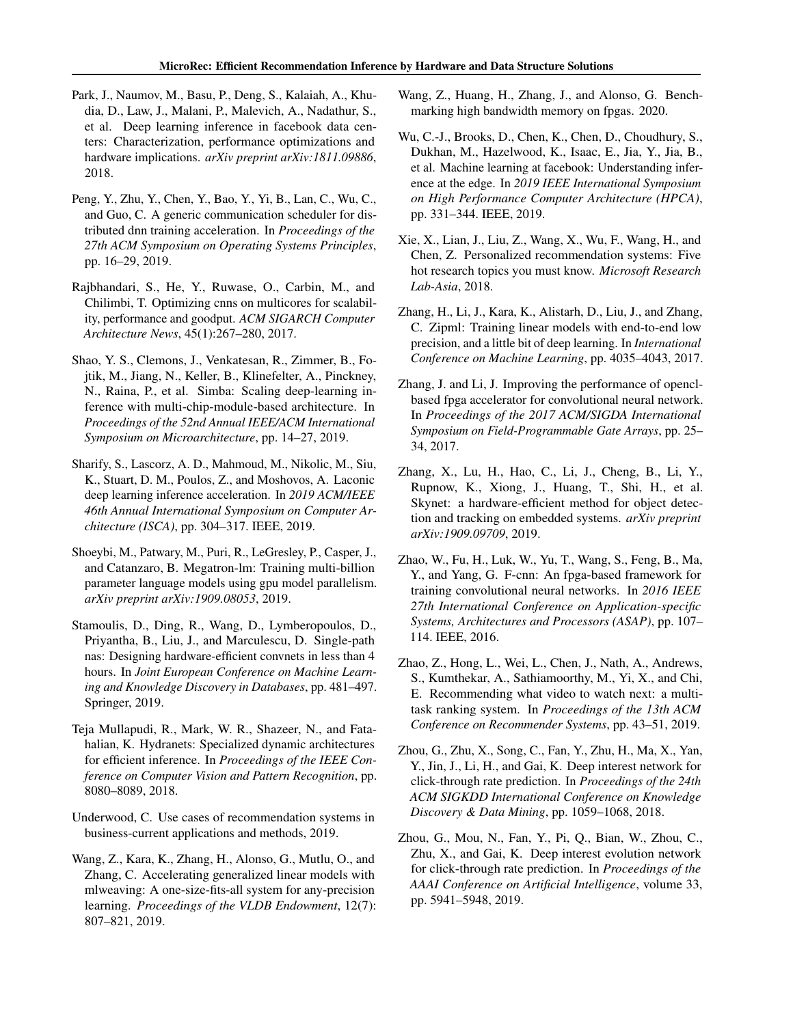- <span id="page-13-0"></span>Park, J., Naumov, M., Basu, P., Deng, S., Kalaiah, A., Khudia, D., Law, J., Malani, P., Malevich, A., Nadathur, S., et al. Deep learning inference in facebook data centers: Characterization, performance optimizations and hardware implications. *arXiv preprint arXiv:1811.09886*, 2018.
- Peng, Y., Zhu, Y., Chen, Y., Bao, Y., Yi, B., Lan, C., Wu, C., and Guo, C. A generic communication scheduler for distributed dnn training acceleration. In *Proceedings of the 27th ACM Symposium on Operating Systems Principles*, pp. 16–29, 2019.
- Rajbhandari, S., He, Y., Ruwase, O., Carbin, M., and Chilimbi, T. Optimizing cnns on multicores for scalability, performance and goodput. *ACM SIGARCH Computer Architecture News*, 45(1):267–280, 2017.
- Shao, Y. S., Clemons, J., Venkatesan, R., Zimmer, B., Fojtik, M., Jiang, N., Keller, B., Klinefelter, A., Pinckney, N., Raina, P., et al. Simba: Scaling deep-learning inference with multi-chip-module-based architecture. In *Proceedings of the 52nd Annual IEEE/ACM International Symposium on Microarchitecture*, pp. 14–27, 2019.
- Sharify, S., Lascorz, A. D., Mahmoud, M., Nikolic, M., Siu, K., Stuart, D. M., Poulos, Z., and Moshovos, A. Laconic deep learning inference acceleration. In *2019 ACM/IEEE 46th Annual International Symposium on Computer Architecture (ISCA)*, pp. 304–317. IEEE, 2019.
- Shoeybi, M., Patwary, M., Puri, R., LeGresley, P., Casper, J., and Catanzaro, B. Megatron-lm: Training multi-billion parameter language models using gpu model parallelism. *arXiv preprint arXiv:1909.08053*, 2019.
- Stamoulis, D., Ding, R., Wang, D., Lymberopoulos, D., Priyantha, B., Liu, J., and Marculescu, D. Single-path nas: Designing hardware-efficient convnets in less than 4 hours. In *Joint European Conference on Machine Learning and Knowledge Discovery in Databases*, pp. 481–497. Springer, 2019.
- Teja Mullapudi, R., Mark, W. R., Shazeer, N., and Fatahalian, K. Hydranets: Specialized dynamic architectures for efficient inference. In *Proceedings of the IEEE Conference on Computer Vision and Pattern Recognition*, pp. 8080–8089, 2018.
- Underwood, C. Use cases of recommendation systems in business-current applications and methods, 2019.
- Wang, Z., Kara, K., Zhang, H., Alonso, G., Mutlu, O., and Zhang, C. Accelerating generalized linear models with mlweaving: A one-size-fits-all system for any-precision learning. *Proceedings of the VLDB Endowment*, 12(7): 807–821, 2019.
- Wang, Z., Huang, H., Zhang, J., and Alonso, G. Benchmarking high bandwidth memory on fpgas. 2020.
- Wu, C.-J., Brooks, D., Chen, K., Chen, D., Choudhury, S., Dukhan, M., Hazelwood, K., Isaac, E., Jia, Y., Jia, B., et al. Machine learning at facebook: Understanding inference at the edge. In *2019 IEEE International Symposium on High Performance Computer Architecture (HPCA)*, pp. 331–344. IEEE, 2019.
- Xie, X., Lian, J., Liu, Z., Wang, X., Wu, F., Wang, H., and Chen, Z. Personalized recommendation systems: Five hot research topics you must know. *Microsoft Research Lab-Asia*, 2018.
- Zhang, H., Li, J., Kara, K., Alistarh, D., Liu, J., and Zhang, C. Zipml: Training linear models with end-to-end low precision, and a little bit of deep learning. In *International Conference on Machine Learning*, pp. 4035–4043, 2017.
- Zhang, J. and Li, J. Improving the performance of openclbased fpga accelerator for convolutional neural network. In *Proceedings of the 2017 ACM/SIGDA International Symposium on Field-Programmable Gate Arrays*, pp. 25– 34, 2017.
- Zhang, X., Lu, H., Hao, C., Li, J., Cheng, B., Li, Y., Rupnow, K., Xiong, J., Huang, T., Shi, H., et al. Skynet: a hardware-efficient method for object detection and tracking on embedded systems. *arXiv preprint arXiv:1909.09709*, 2019.
- Zhao, W., Fu, H., Luk, W., Yu, T., Wang, S., Feng, B., Ma, Y., and Yang, G. F-cnn: An fpga-based framework for training convolutional neural networks. In *2016 IEEE 27th International Conference on Application-specific Systems, Architectures and Processors (ASAP)*, pp. 107– 114. IEEE, 2016.
- Zhao, Z., Hong, L., Wei, L., Chen, J., Nath, A., Andrews, S., Kumthekar, A., Sathiamoorthy, M., Yi, X., and Chi, E. Recommending what video to watch next: a multitask ranking system. In *Proceedings of the 13th ACM Conference on Recommender Systems*, pp. 43–51, 2019.
- Zhou, G., Zhu, X., Song, C., Fan, Y., Zhu, H., Ma, X., Yan, Y., Jin, J., Li, H., and Gai, K. Deep interest network for click-through rate prediction. In *Proceedings of the 24th ACM SIGKDD International Conference on Knowledge Discovery & Data Mining*, pp. 1059–1068, 2018.
- Zhou, G., Mou, N., Fan, Y., Pi, Q., Bian, W., Zhou, C., Zhu, X., and Gai, K. Deep interest evolution network for click-through rate prediction. In *Proceedings of the AAAI Conference on Artificial Intelligence*, volume 33, pp. 5941–5948, 2019.